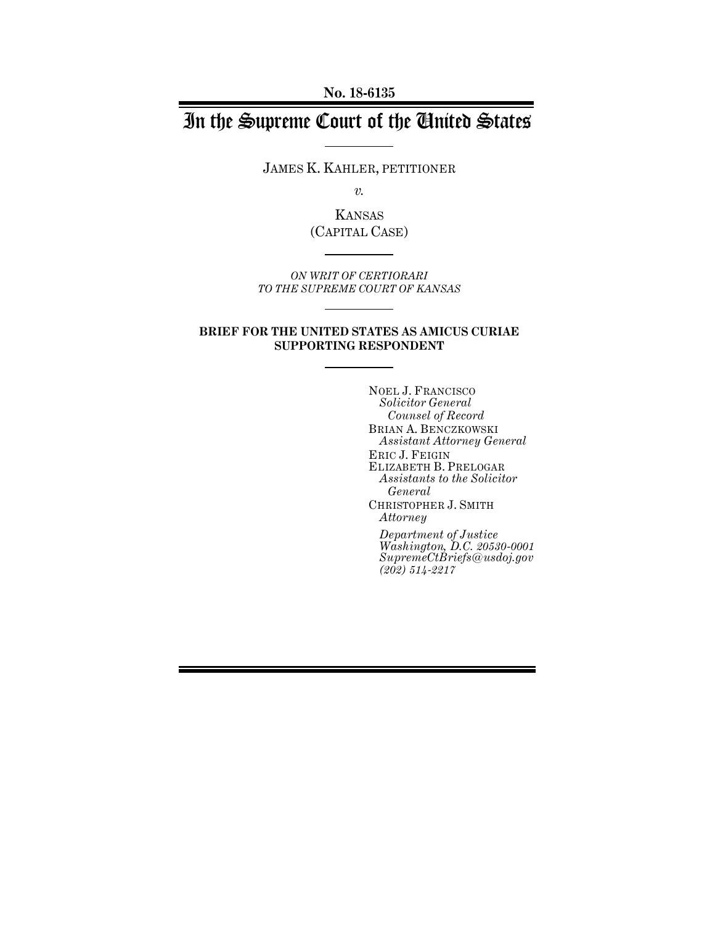**No. 18-6135**

# In the Supreme Court of the United States

JAMES K. KAHLER, PETITIONER

*v.*

KANSAS (CAPITAL CASE)

*ON WRIT OF CERTIORARI TO THE SUPREME COURT OF KANSAS*

#### **BRIEF FOR THE UNITED STATES AS AMICUS CURIAE SUPPORTING RESPONDENT**

NOEL J. FRANCISCO *Solicitor General Counsel of Record* BRIAN A. BENCZKOWSKI *Assistant Attorney General* ERIC J. FEIGIN ELIZABETH B. PRELOGAR *Assistants to the Solicitor General*  CHRISTOPHER J. SMITH *Attorney Department of Justice Washington, D.C. 20530-0001 SupremeCtBriefs@usdoj.gov (202) 514-2217*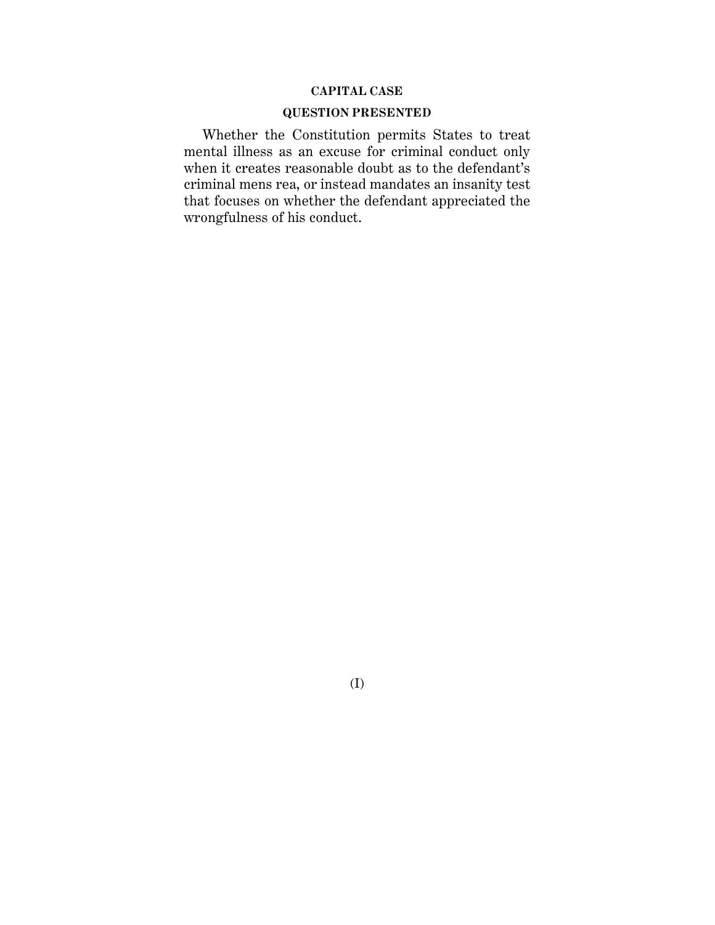#### **CAPITAL CASE**

### **QUESTION PRESENTED**

Whether the Constitution permits States to treat mental illness as an excuse for criminal conduct only when it creates reasonable doubt as to the defendant's criminal mens rea, or instead mandates an insanity test that focuses on whether the defendant appreciated the wrongfulness of his conduct.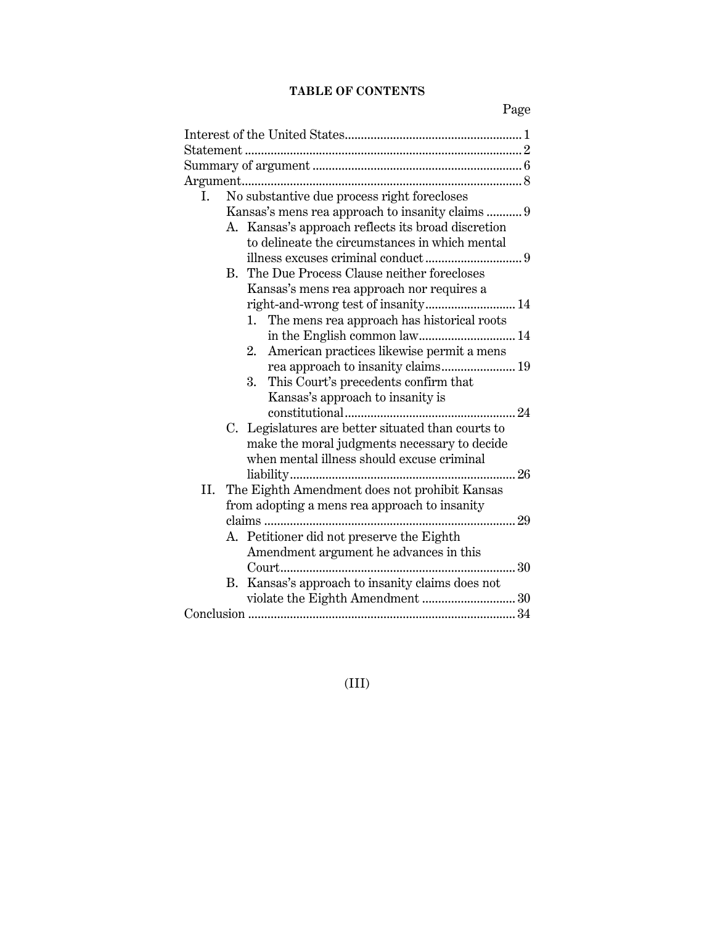## **TABLE OF CONTENTS**

Page

| No substantive due process right forecloses<br>Ι.     |
|-------------------------------------------------------|
| Kansas's mens rea approach to insanity claims  9      |
| Kansas's approach reflects its broad discretion<br>А. |
| to delineate the circumstances in which mental        |
|                                                       |
| B. The Due Process Clause neither forecloses          |
| Kansas's mens rea approach nor requires a             |
|                                                       |
| The mens rea approach has historical roots<br>1.      |
| in the English common law 14                          |
| American practices likewise permit a mens<br>2.       |
| rea approach to insanity claims 19                    |
| This Court's precedents confirm that<br>3.            |
| Kansas's approach to insanity is                      |
|                                                       |
| C. Legislatures are better situated than courts to    |
| make the moral judgments necessary to decide          |
| when mental illness should excuse criminal            |
|                                                       |
| The Eighth Amendment does not prohibit Kansas<br>II.  |
| from adopting a mens rea approach to insanity         |
|                                                       |
| A. Petitioner did not preserve the Eighth             |
| Amendment argument he advances in this                |
|                                                       |
| Kansas's approach to insanity claims does not<br>В.   |
| violate the Eighth Amendment  30                      |
|                                                       |

## (III)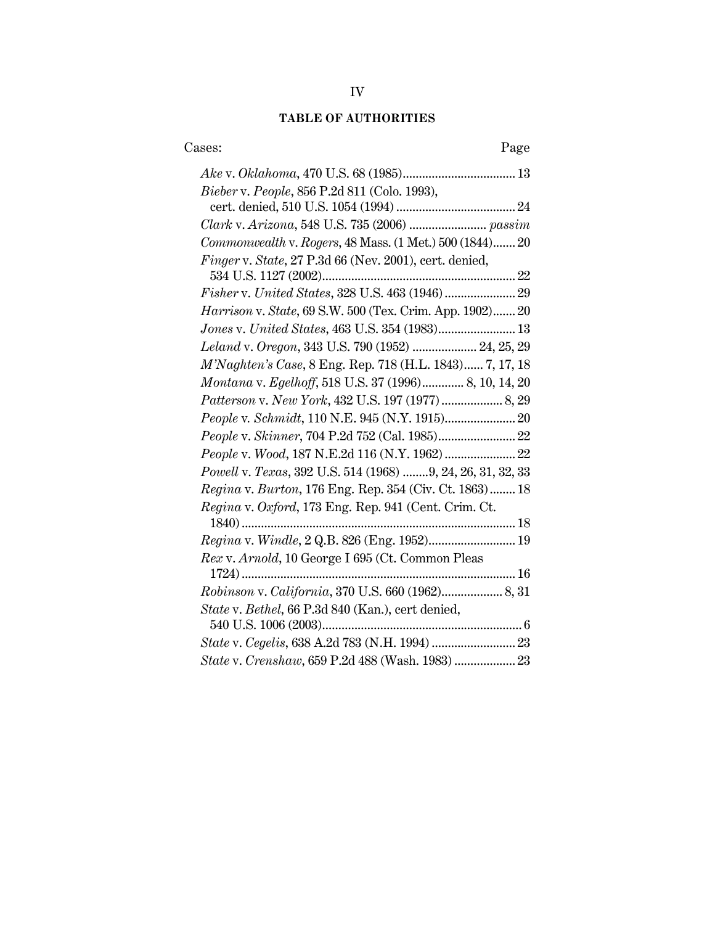## **TABLE OF AUTHORITIES**

| Cases:<br>Page                                                        |
|-----------------------------------------------------------------------|
|                                                                       |
| Bieber v. People, 856 P.2d 811 (Colo. 1993),                          |
|                                                                       |
| Clark v. Arizona, 548 U.S. 735 (2006)  passim                         |
| Commonwealth v. Rogers, 48 Mass. (1 Met.) 500 (1844) 20               |
| Finger v. State, 27 P.3d 66 (Nev. 2001), cert. denied,                |
|                                                                       |
| ${\small\it Fisher\,v.\,United\,States,\,328\,U.S.\,463\,(1946)\,29}$ |
| Harrison v. State, 69 S.W. 500 (Tex. Crim. App. 1902) 20              |
| Jones v. United States, 463 U.S. 354 (1983) 13                        |
| Leland v. Oregon, 343 U.S. 790 (1952)  24, 25, 29                     |
| M'Naghten's Case, 8 Eng. Rep. 718 (H.L. 1843) 7, 17, 18               |
| Montana v. Egelhoff, 518 U.S. 37 (1996) 8, 10, 14, 20                 |
|                                                                       |
|                                                                       |
|                                                                       |
| People v. Wood, 187 N.E.2d 116 (N.Y. 1962)  22                        |
| Powell v. Texas, 392 U.S. 514 (1968) 9, 24, 26, 31, 32, 33            |
| Regina v. Burton, 176 Eng. Rep. 354 (Civ. Ct. 1863) 18                |
| Regina v. Oxford, 173 Eng. Rep. 941 (Cent. Crim. Ct.                  |
|                                                                       |
|                                                                       |
| Rex v. Arnold, 10 George I 695 (Ct. Common Pleas                      |
|                                                                       |
|                                                                       |
| State v. Bethel, 66 P.3d 840 (Kan.), cert denied,                     |
|                                                                       |
|                                                                       |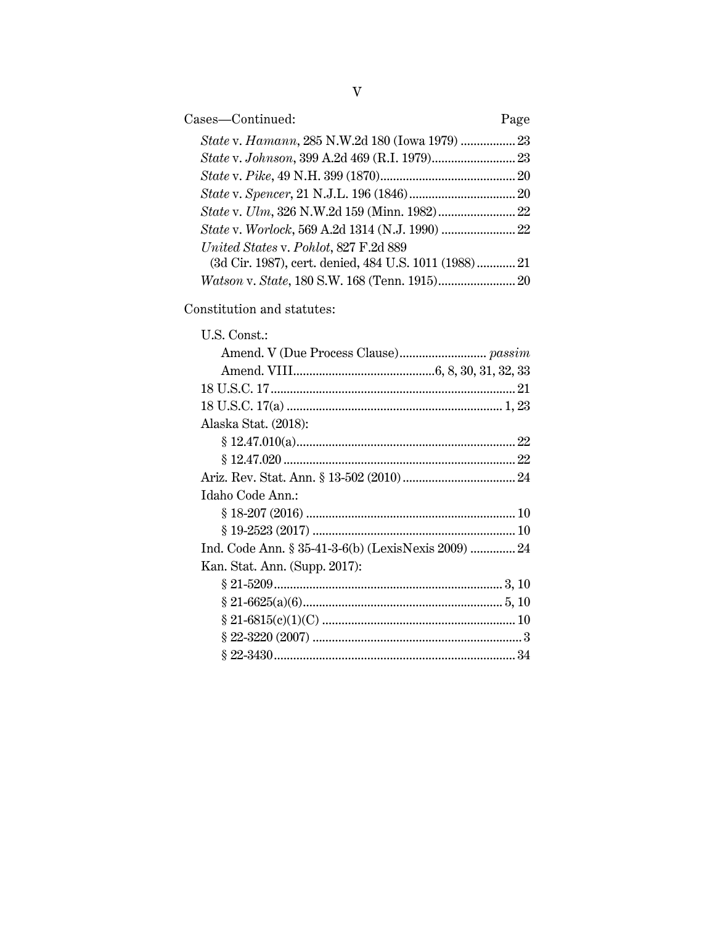| Cases-Continued:                                      | Page |
|-------------------------------------------------------|------|
|                                                       |      |
|                                                       |      |
|                                                       |      |
|                                                       |      |
|                                                       |      |
|                                                       |      |
| United States v. Pohlot, 827 F.2d 889                 |      |
| (3d Cir. 1987), cert. denied, 484 U.S. 1011 (1988) 21 |      |
| Watson v. State, 180 S.W. 168 (Tenn. 1915) 20         |      |

Constitution and statutes:

| U.S. Const.:                                        |  |
|-----------------------------------------------------|--|
|                                                     |  |
|                                                     |  |
|                                                     |  |
|                                                     |  |
| Alaska Stat. (2018):                                |  |
|                                                     |  |
|                                                     |  |
|                                                     |  |
| Idaho Code Ann.:                                    |  |
|                                                     |  |
|                                                     |  |
| Ind. Code Ann. § 35-41-3-6(b) (LexisNexis 2009)  24 |  |
| Kan. Stat. Ann. (Supp. 2017):                       |  |
|                                                     |  |
|                                                     |  |
|                                                     |  |
|                                                     |  |
|                                                     |  |
|                                                     |  |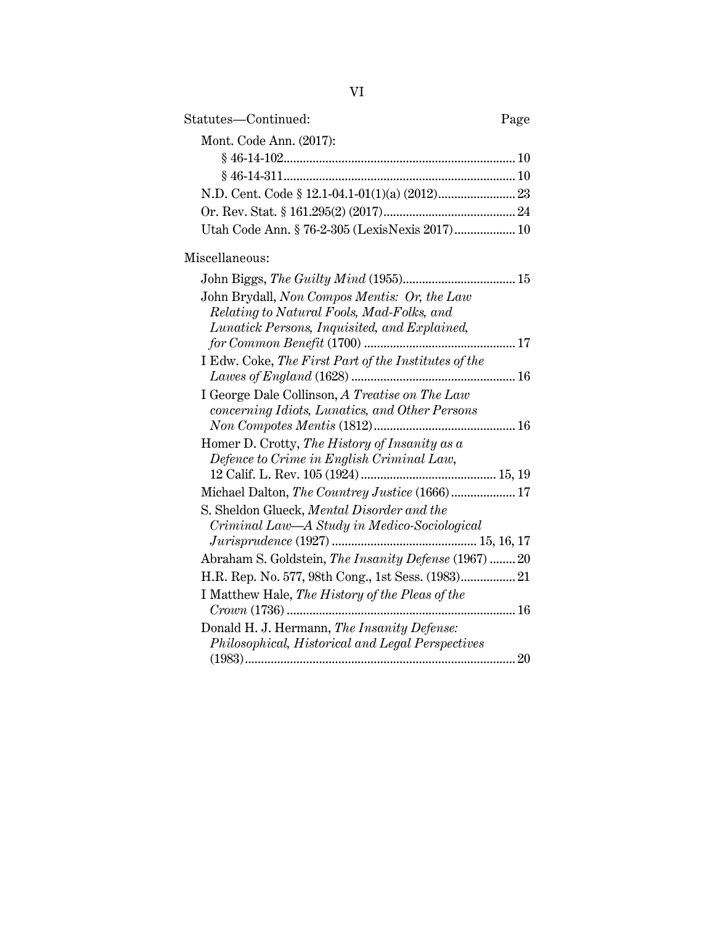| Statutes—Continued:                            | Page |
|------------------------------------------------|------|
| Mont. Code Ann. (2017):                        |      |
|                                                |      |
|                                                |      |
|                                                |      |
|                                                |      |
| Utah Code Ann. § 76-2-305 (LexisNexis 2017) 10 |      |

## Miscellaneous:

| John Brydall, Non Compos Mentis: Or, the Law          |
|-------------------------------------------------------|
| Relating to Natural Fools, Mad-Folks, and             |
| Lunatick Persons, Inquisited, and Explained,          |
|                                                       |
| I Edw. Coke, The First Part of the Institutes of the  |
|                                                       |
| I George Dale Collinson, A Treatise on The Law        |
| concerning Idiots, Lunatics, and Other Persons        |
|                                                       |
| Homer D. Crotty, The History of Insanity as $a$       |
| Defence to Crime in English Criminal Law,             |
|                                                       |
| Michael Dalton, The Countrey Justice (1666)  17       |
| S. Sheldon Glueck, Mental Disorder and the            |
| Criminal Law—A Study in Medico-Sociological           |
|                                                       |
| Abraham S. Goldstein, The Insanity Defense (1967)  20 |
| H.R. Rep. No. 577, 98th Cong., 1st Sess. (1983) 21    |
| I Matthew Hale, The History of the Pleas of the       |
|                                                       |
| Donald H. J. Hermann, The Insanity Defense:           |
| Philosophical, Historical and Legal Perspectives      |
| 20                                                    |
|                                                       |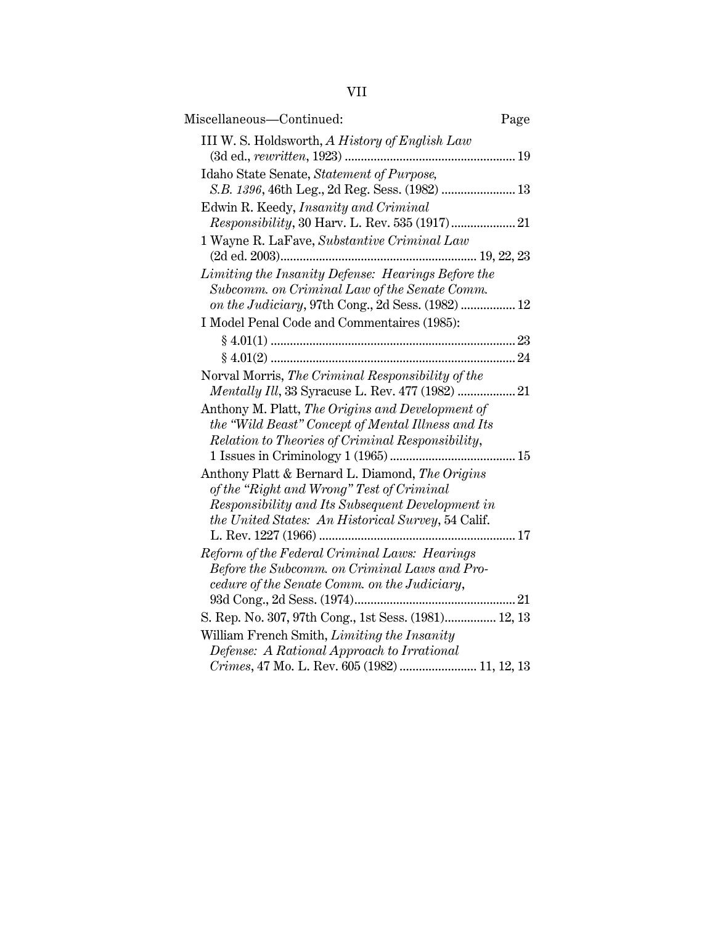| Miscellaneous-Continued:                                                                                                                                                                               | Page |
|--------------------------------------------------------------------------------------------------------------------------------------------------------------------------------------------------------|------|
| III W. S. Holdsworth, A History of English Law                                                                                                                                                         |      |
| Idaho State Senate, Statement of Purpose,<br>S.B. 1396, 46th Leg., 2d Reg. Sess. (1982)  13                                                                                                            |      |
| Edwin R. Keedy, Insanity and Criminal                                                                                                                                                                  |      |
| 1 Wayne R. LaFave, Substantive Criminal Law                                                                                                                                                            |      |
| Limiting the Insanity Defense: Hearings Before the<br>Subcomm. on Criminal Law of the Senate Comm.<br>on the Judiciary, 97th Cong., 2d Sess. (1982)  12                                                |      |
| I Model Penal Code and Commentaires (1985):                                                                                                                                                            |      |
|                                                                                                                                                                                                        |      |
| Norval Morris, The Criminal Responsibility of the                                                                                                                                                      |      |
| Anthony M. Platt, The Origins and Development of<br>the "Wild Beast" Concept of Mental Illness and Its<br>Relation to Theories of Criminal Responsibility,                                             |      |
| Anthony Platt & Bernard L. Diamond, The Origins<br>of the "Right and Wrong" Test of Criminal<br>Responsibility and Its Subsequent Development in<br>the United States: An Historical Survey, 54 Calif. |      |
|                                                                                                                                                                                                        |      |
| Reform of the Federal Criminal Laws: Hearings<br>Before the Subcomm. on Criminal Laws and Pro-<br>cedure of the Senate Comm. on the Judiciary,                                                         |      |
| S. Rep. No. 307, 97th Cong., 1st Sess. (1981) 12, 13                                                                                                                                                   |      |
| William French Smith, Limiting the Insanity<br>Defense: A Rational Approach to Irrational<br>Crimes, 47 Mo. L. Rev. 605 (1982)  11, 12, 13                                                             |      |
|                                                                                                                                                                                                        |      |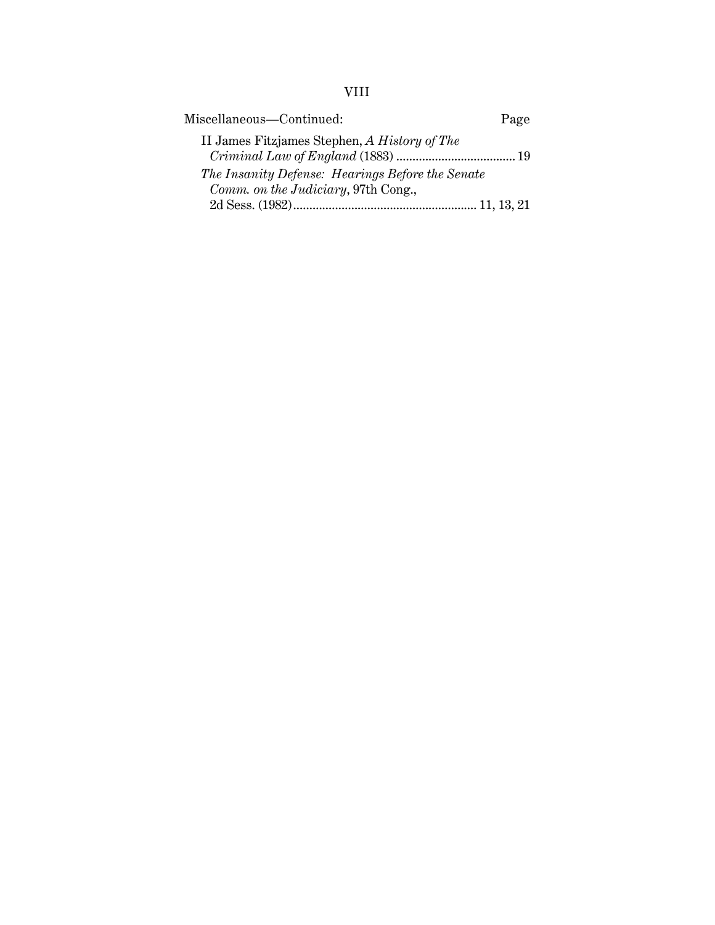# VIII

| Miscellaneous-Continued:                         | Page |
|--------------------------------------------------|------|
| II James Fitzjames Stephen, A History of The     |      |
| The Insanity Defense: Hearings Before the Senate |      |
| Comm. on the Judiciary, 97th Cong.,              |      |
|                                                  |      |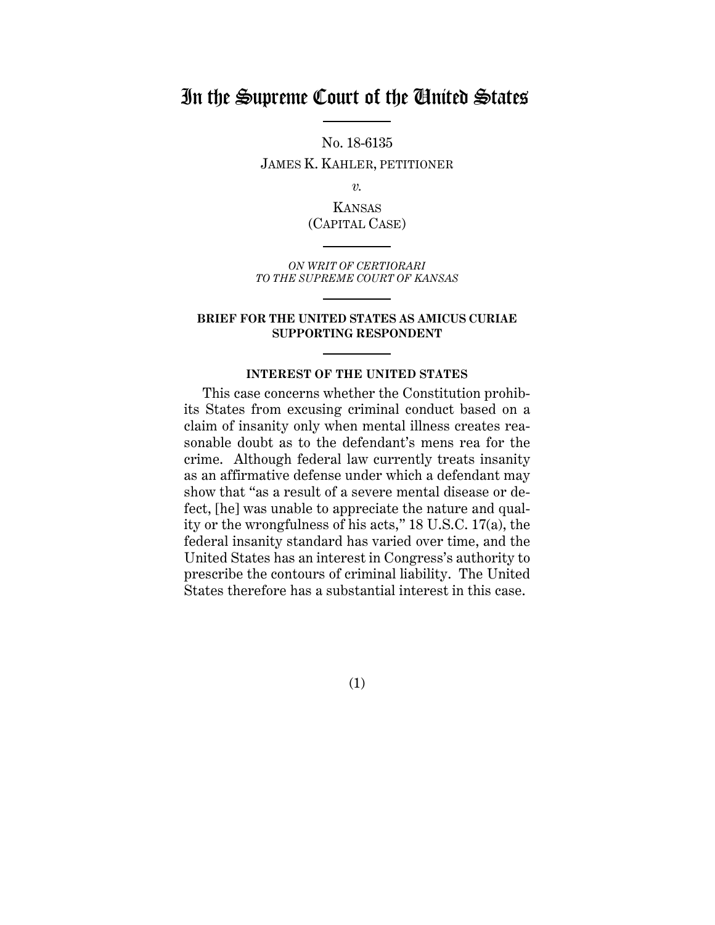## In the Supreme Court of the United States

No. 18-6135 JAMES K. KAHLER, PETITIONER

*v.*

KANSAS (CAPITAL CASE)

*ON WRIT OF CERTIORARI TO THE SUPREME COURT OF KANSAS*

#### **BRIEF FOR THE UNITED STATES AS AMICUS CURIAE SUPPORTING RESPONDENT**

#### **INTEREST OF THE UNITED STATES**

This case concerns whether the Constitution prohibits States from excusing criminal conduct based on a claim of insanity only when mental illness creates reasonable doubt as to the defendant's mens rea for the crime. Although federal law currently treats insanity as an affirmative defense under which a defendant may show that "as a result of a severe mental disease or defect, [he] was unable to appreciate the nature and quality or the wrongfulness of his acts," 18 U.S.C. 17(a), the federal insanity standard has varied over time, and the United States has an interest in Congress's authority to prescribe the contours of criminal liability. The United States therefore has a substantial interest in this case.

(1)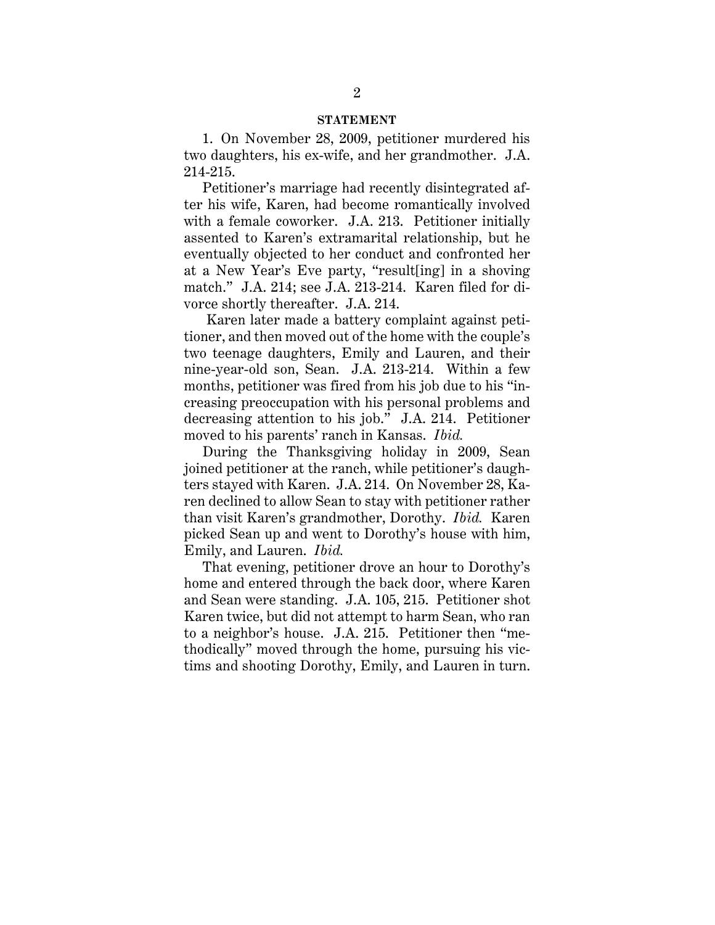#### **STATEMENT**

1. On November 28, 2009, petitioner murdered his two daughters, his ex-wife, and her grandmother. J.A. 214-215.

Petitioner's marriage had recently disintegrated after his wife, Karen, had become romantically involved with a female coworker. J.A. 213. Petitioner initially assented to Karen's extramarital relationship, but he eventually objected to her conduct and confronted her at a New Year's Eve party, "result[ing] in a shoving match." J.A. 214; see J.A. 213-214. Karen filed for divorce shortly thereafter. J.A. 214.

Karen later made a battery complaint against petitioner, and then moved out of the home with the couple's two teenage daughters, Emily and Lauren, and their nine-year-old son, Sean. J.A. 213-214. Within a few months, petitioner was fired from his job due to his "increasing preoccupation with his personal problems and decreasing attention to his job." J.A. 214. Petitioner moved to his parents' ranch in Kansas. *Ibid.*

During the Thanksgiving holiday in 2009, Sean joined petitioner at the ranch, while petitioner's daughters stayed with Karen. J.A. 214. On November 28, Karen declined to allow Sean to stay with petitioner rather than visit Karen's grandmother, Dorothy. *Ibid.* Karen picked Sean up and went to Dorothy's house with him, Emily, and Lauren. *Ibid.*

That evening, petitioner drove an hour to Dorothy's home and entered through the back door, where Karen and Sean were standing. J.A. 105, 215. Petitioner shot Karen twice, but did not attempt to harm Sean, who ran to a neighbor's house. J.A. 215. Petitioner then "methodically" moved through the home, pursuing his victims and shooting Dorothy, Emily, and Lauren in turn.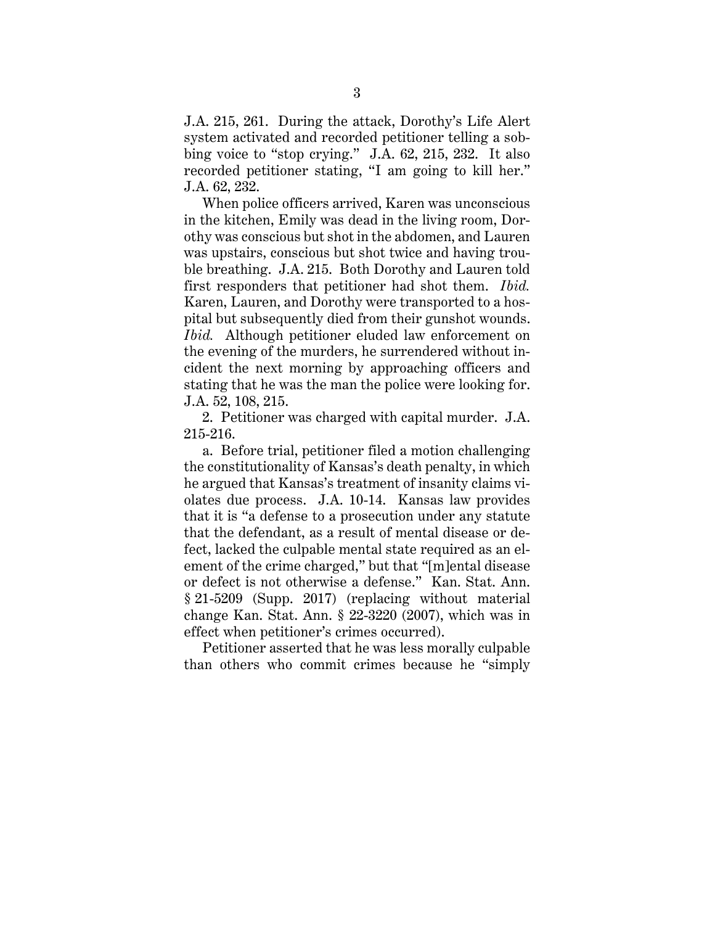J.A. 215, 261. During the attack, Dorothy's Life Alert system activated and recorded petitioner telling a sobbing voice to "stop crying." J.A. 62, 215, 232. It also recorded petitioner stating, "I am going to kill her." J.A. 62, 232.

When police officers arrived, Karen was unconscious in the kitchen, Emily was dead in the living room, Dorothy was conscious but shot in the abdomen, and Lauren was upstairs, conscious but shot twice and having trouble breathing. J.A. 215. Both Dorothy and Lauren told first responders that petitioner had shot them. *Ibid.* Karen, Lauren, and Dorothy were transported to a hospital but subsequently died from their gunshot wounds. *Ibid.* Although petitioner eluded law enforcement on the evening of the murders, he surrendered without incident the next morning by approaching officers and stating that he was the man the police were looking for. J.A. 52, 108, 215.

2. Petitioner was charged with capital murder. J.A. 215-216.

a. Before trial, petitioner filed a motion challenging the constitutionality of Kansas's death penalty, in which he argued that Kansas's treatment of insanity claims violates due process. J.A. 10-14. Kansas law provides that it is "a defense to a prosecution under any statute that the defendant, as a result of mental disease or defect, lacked the culpable mental state required as an element of the crime charged," but that "[m]ental disease or defect is not otherwise a defense." Kan. Stat. Ann. § 21-5209 (Supp. 2017) (replacing without material change Kan. Stat. Ann. § 22-3220 (2007), which was in effect when petitioner's crimes occurred).

Petitioner asserted that he was less morally culpable than others who commit crimes because he "simply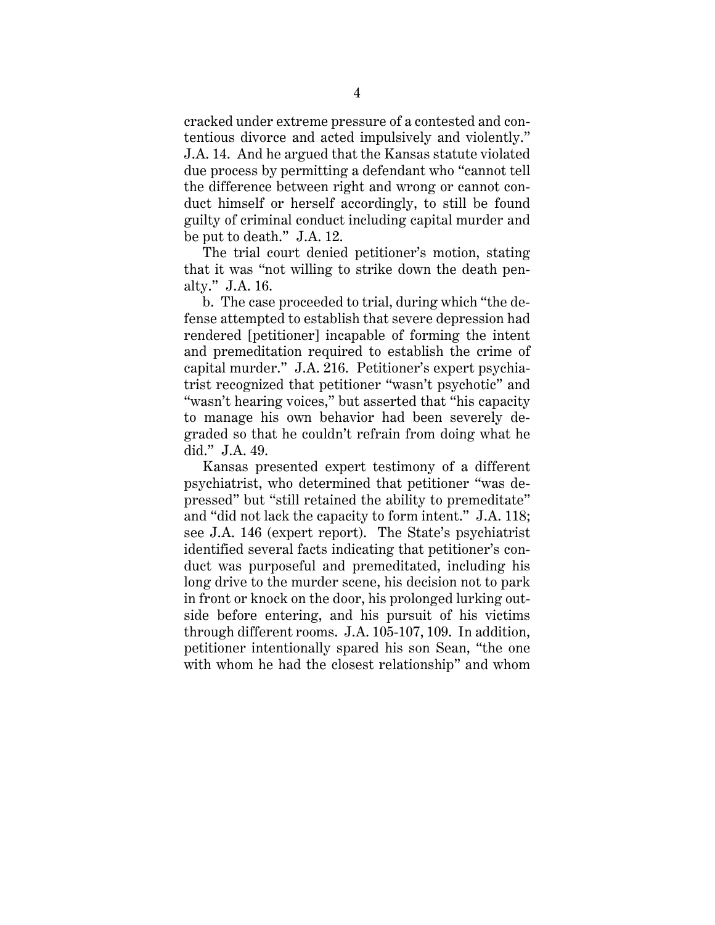cracked under extreme pressure of a contested and contentious divorce and acted impulsively and violently." J.A. 14. And he argued that the Kansas statute violated due process by permitting a defendant who "cannot tell the difference between right and wrong or cannot conduct himself or herself accordingly, to still be found guilty of criminal conduct including capital murder and be put to death." J.A. 12.

The trial court denied petitioner's motion, stating that it was "not willing to strike down the death penalty." J.A. 16.

b. The case proceeded to trial, during which "the defense attempted to establish that severe depression had rendered [petitioner] incapable of forming the intent and premeditation required to establish the crime of capital murder." J.A. 216. Petitioner's expert psychiatrist recognized that petitioner "wasn't psychotic" and "wasn't hearing voices," but asserted that "his capacity" to manage his own behavior had been severely degraded so that he couldn't refrain from doing what he did." J.A. 49.

Kansas presented expert testimony of a different psychiatrist, who determined that petitioner "was depressed" but "still retained the ability to premeditate" and "did not lack the capacity to form intent." J.A. 118; see J.A. 146 (expert report). The State's psychiatrist identified several facts indicating that petitioner's conduct was purposeful and premeditated, including his long drive to the murder scene, his decision not to park in front or knock on the door, his prolonged lurking outside before entering, and his pursuit of his victims through different rooms. J.A. 105-107, 109. In addition, petitioner intentionally spared his son Sean, "the one with whom he had the closest relationship" and whom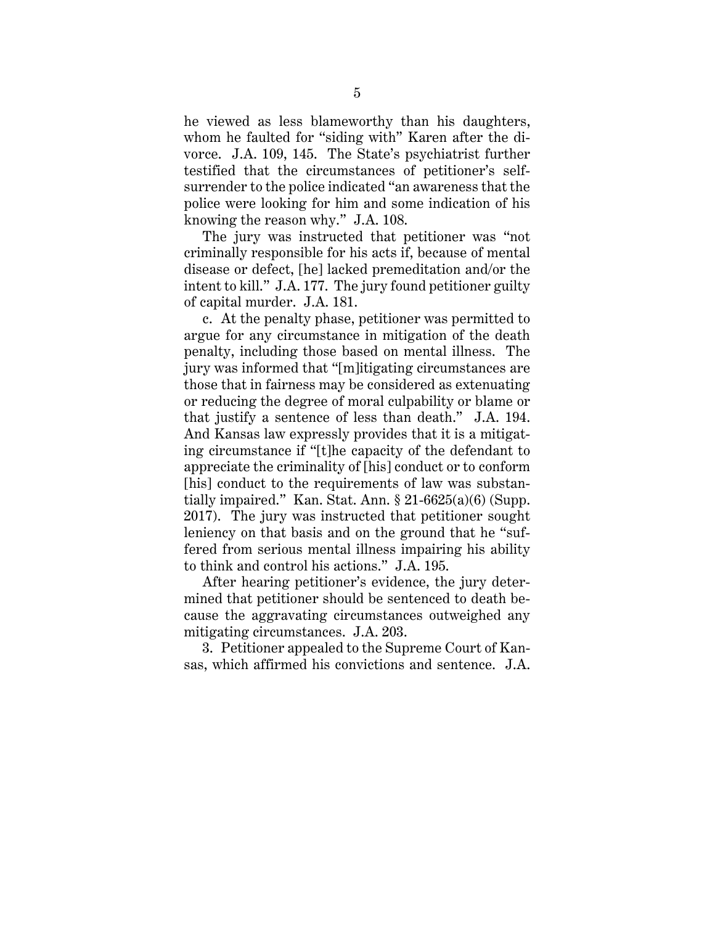he viewed as less blameworthy than his daughters, whom he faulted for "siding with" Karen after the divorce. J.A. 109, 145. The State's psychiatrist further testified that the circumstances of petitioner's selfsurrender to the police indicated "an awareness that the police were looking for him and some indication of his knowing the reason why." J.A. 108.

The jury was instructed that petitioner was "not criminally responsible for his acts if, because of mental disease or defect, [he] lacked premeditation and/or the intent to kill." J.A. 177. The jury found petitioner guilty of capital murder. J.A. 181.

c. At the penalty phase, petitioner was permitted to argue for any circumstance in mitigation of the death penalty, including those based on mental illness. The jury was informed that "[m]itigating circumstances are those that in fairness may be considered as extenuating or reducing the degree of moral culpability or blame or that justify a sentence of less than death." J.A. 194. And Kansas law expressly provides that it is a mitigating circumstance if "[t]he capacity of the defendant to appreciate the criminality of [his] conduct or to conform [his] conduct to the requirements of law was substantially impaired." Kan. Stat. Ann.  $\S 21-6625(a)(6)$  (Supp. 2017). The jury was instructed that petitioner sought leniency on that basis and on the ground that he "suffered from serious mental illness impairing his ability to think and control his actions." J.A. 195.

After hearing petitioner's evidence, the jury determined that petitioner should be sentenced to death because the aggravating circumstances outweighed any mitigating circumstances. J.A. 203.

3. Petitioner appealed to the Supreme Court of Kansas, which affirmed his convictions and sentence. J.A.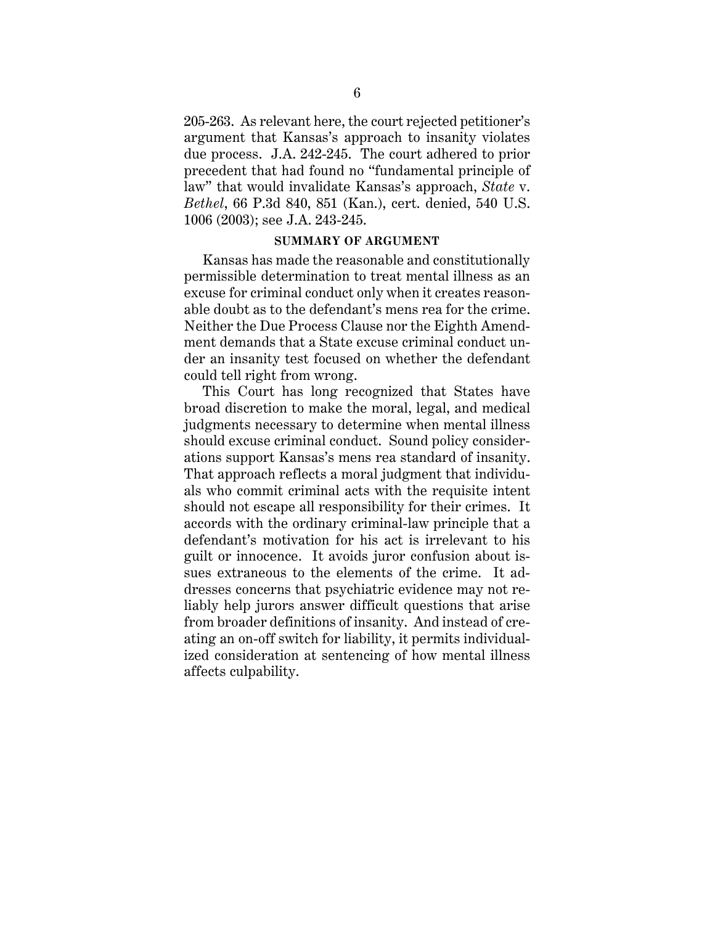205-263. As relevant here, the court rejected petitioner's argument that Kansas's approach to insanity violates due process. J.A. 242-245. The court adhered to prior precedent that had found no "fundamental principle of law" that would invalidate Kansas's approach, *State* v. *Bethel*, 66 P.3d 840, 851 (Kan.), cert. denied, 540 U.S. 1006 (2003); see J.A. 243-245.

#### **SUMMARY OF ARGUMENT**

Kansas has made the reasonable and constitutionally permissible determination to treat mental illness as an excuse for criminal conduct only when it creates reasonable doubt as to the defendant's mens rea for the crime. Neither the Due Process Clause nor the Eighth Amendment demands that a State excuse criminal conduct under an insanity test focused on whether the defendant could tell right from wrong.

This Court has long recognized that States have broad discretion to make the moral, legal, and medical judgments necessary to determine when mental illness should excuse criminal conduct. Sound policy considerations support Kansas's mens rea standard of insanity. That approach reflects a moral judgment that individuals who commit criminal acts with the requisite intent should not escape all responsibility for their crimes. It accords with the ordinary criminal-law principle that a defendant's motivation for his act is irrelevant to his guilt or innocence. It avoids juror confusion about issues extraneous to the elements of the crime. It addresses concerns that psychiatric evidence may not reliably help jurors answer difficult questions that arise from broader definitions of insanity. And instead of creating an on-off switch for liability, it permits individualized consideration at sentencing of how mental illness affects culpability.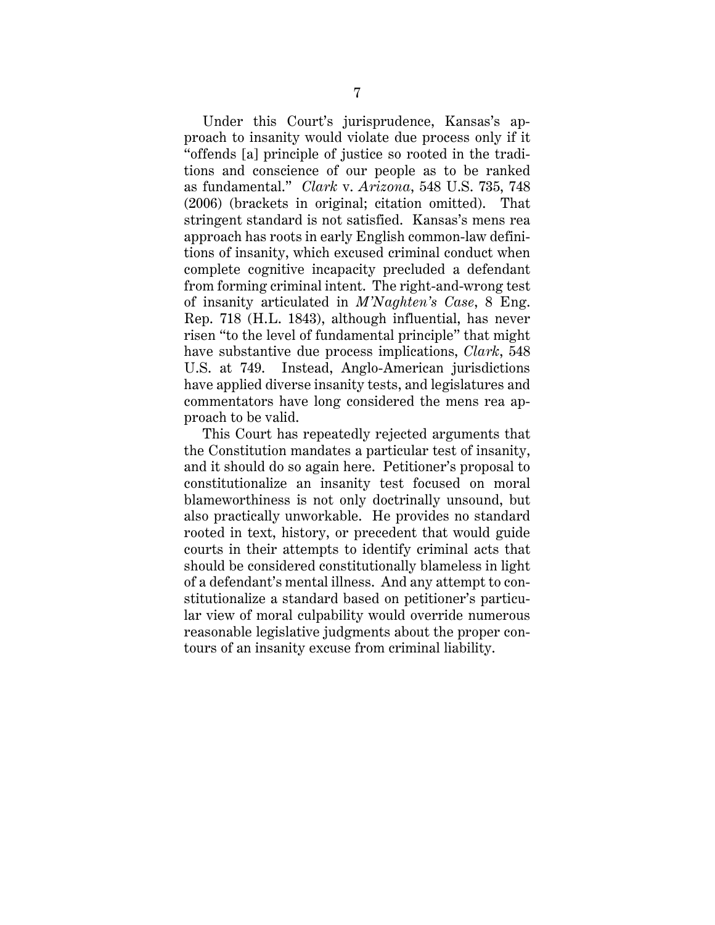Under this Court's jurisprudence, Kansas's approach to insanity would violate due process only if it "offends [a] principle of justice so rooted in the traditions and conscience of our people as to be ranked as fundamental." *Clark* v. *Arizona*, 548 U.S. 735, 748 (2006) (brackets in original; citation omitted). That stringent standard is not satisfied. Kansas's mens rea approach has roots in early English common-law definitions of insanity, which excused criminal conduct when complete cognitive incapacity precluded a defendant from forming criminal intent. The right-and-wrong test of insanity articulated in *M'Naghten's Case*, 8 Eng. Rep. 718 (H.L. 1843), although influential, has never risen "to the level of fundamental principle" that might have substantive due process implications, *Clark*, 548 U.S. at 749. Instead, Anglo-American jurisdictions have applied diverse insanity tests, and legislatures and commentators have long considered the mens rea approach to be valid.

This Court has repeatedly rejected arguments that the Constitution mandates a particular test of insanity, and it should do so again here. Petitioner's proposal to constitutionalize an insanity test focused on moral blameworthiness is not only doctrinally unsound, but also practically unworkable. He provides no standard rooted in text, history, or precedent that would guide courts in their attempts to identify criminal acts that should be considered constitutionally blameless in light of a defendant's mental illness. And any attempt to constitutionalize a standard based on petitioner's particular view of moral culpability would override numerous reasonable legislative judgments about the proper contours of an insanity excuse from criminal liability.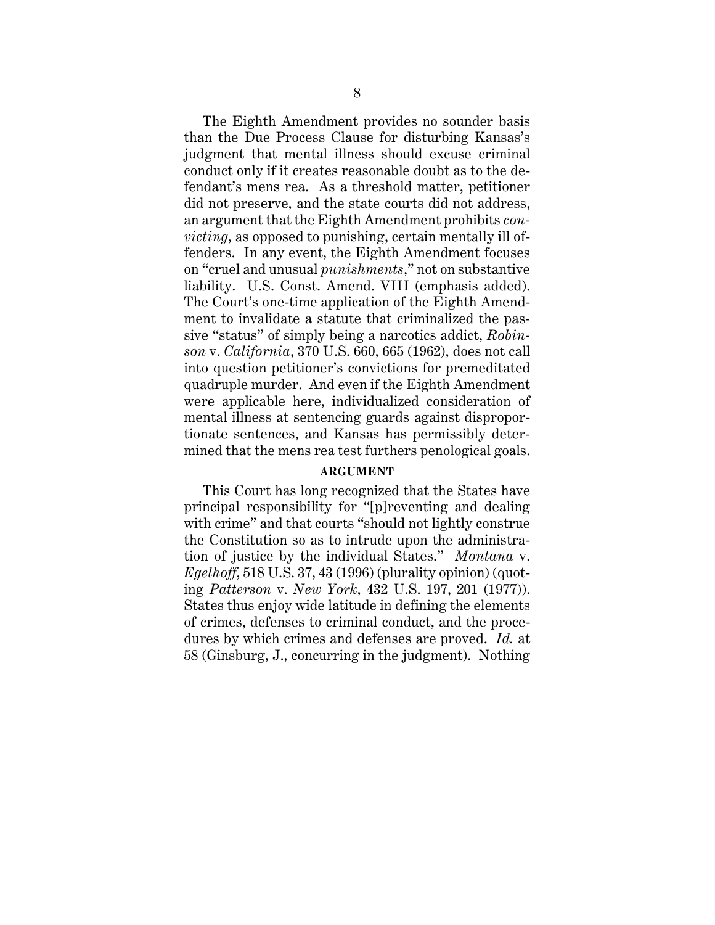The Eighth Amendment provides no sounder basis than the Due Process Clause for disturbing Kansas's judgment that mental illness should excuse criminal conduct only if it creates reasonable doubt as to the defendant's mens rea. As a threshold matter, petitioner did not preserve, and the state courts did not address, an argument that the Eighth Amendment prohibits *convicting*, as opposed to punishing, certain mentally ill offenders. In any event, the Eighth Amendment focuses on "cruel and unusual *punishments*," not on substantive liability. U.S. Const. Amend. VIII (emphasis added). The Court's one-time application of the Eighth Amendment to invalidate a statute that criminalized the passive "status" of simply being a narcotics addict, *Robinson* v. *California*, 370 U.S. 660, 665 (1962), does not call into question petitioner's convictions for premeditated quadruple murder. And even if the Eighth Amendment were applicable here, individualized consideration of mental illness at sentencing guards against disproportionate sentences, and Kansas has permissibly determined that the mens rea test furthers penological goals.

#### **ARGUMENT**

This Court has long recognized that the States have principal responsibility for "[p]reventing and dealing with crime" and that courts "should not lightly construe the Constitution so as to intrude upon the administration of justice by the individual States." *Montana* v. *Egelhoff*, 518 U.S. 37, 43 (1996) (plurality opinion) (quoting *Patterson* v. *New York*, 432 U.S. 197, 201 (1977)). States thus enjoy wide latitude in defining the elements of crimes, defenses to criminal conduct, and the procedures by which crimes and defenses are proved. *Id.* at 58 (Ginsburg, J., concurring in the judgment). Nothing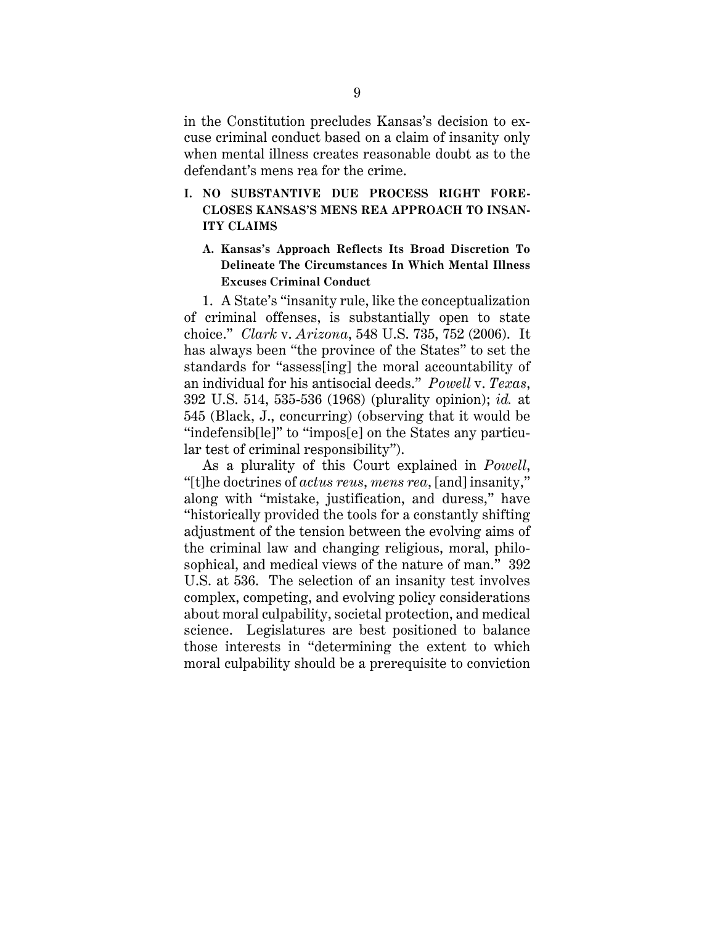in the Constitution precludes Kansas's decision to excuse criminal conduct based on a claim of insanity only when mental illness creates reasonable doubt as to the defendant's mens rea for the crime.

- **I. NO SUBSTANTIVE DUE PROCESS RIGHT FORE-CLOSES KANSAS'S MENS REA APPROACH TO INSAN-ITY CLAIMS** 
	- **A. Kansas's Approach Reflects Its Broad Discretion To Delineate The Circumstances In Which Mental Illness Excuses Criminal Conduct**

1. A State's "insanity rule, like the conceptualization of criminal offenses, is substantially open to state choice." *Clark* v. *Arizona*, 548 U.S. 735, 752 (2006). It has always been "the province of the States" to set the standards for "assess[ing] the moral accountability of an individual for his antisocial deeds." *Powell* v. *Texas*, 392 U.S. 514, 535-536 (1968) (plurality opinion); *id.* at 545 (Black, J., concurring) (observing that it would be "indefensib[le]" to "impos[e] on the States any particular test of criminal responsibility").

As a plurality of this Court explained in *Powell*, "[t]he doctrines of *actus reus*, *mens rea*, [and] insanity," along with "mistake, justification, and duress," have "historically provided the tools for a constantly shifting adjustment of the tension between the evolving aims of the criminal law and changing religious, moral, philosophical, and medical views of the nature of man." 392 U.S. at 536. The selection of an insanity test involves complex, competing, and evolving policy considerations about moral culpability, societal protection, and medical science. Legislatures are best positioned to balance those interests in "determining the extent to which moral culpability should be a prerequisite to conviction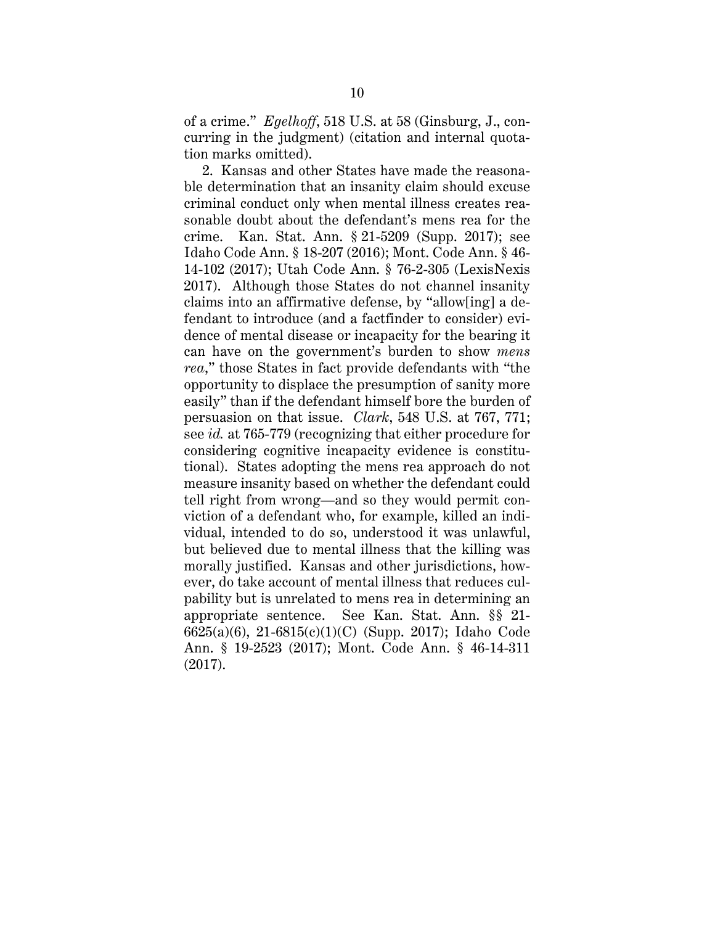of a crime." *Egelhoff*, 518 U.S. at 58 (Ginsburg, J., concurring in the judgment) (citation and internal quotation marks omitted).

2. Kansas and other States have made the reasonable determination that an insanity claim should excuse criminal conduct only when mental illness creates reasonable doubt about the defendant's mens rea for the crime. Kan. Stat. Ann. § 21-5209 (Supp. 2017); see Idaho Code Ann. § 18-207 (2016); Mont. Code Ann. § 46- 14-102 (2017); Utah Code Ann. § 76-2-305 (LexisNexis 2017). Although those States do not channel insanity claims into an affirmative defense, by "allow[ing] a defendant to introduce (and a factfinder to consider) evidence of mental disease or incapacity for the bearing it can have on the government's burden to show *mens rea*," those States in fact provide defendants with "the opportunity to displace the presumption of sanity more easily" than if the defendant himself bore the burden of persuasion on that issue. *Clark*, 548 U.S. at 767, 771; see *id.* at 765-779 (recognizing that either procedure for considering cognitive incapacity evidence is constitutional). States adopting the mens rea approach do not measure insanity based on whether the defendant could tell right from wrong—and so they would permit conviction of a defendant who, for example, killed an individual, intended to do so, understood it was unlawful, but believed due to mental illness that the killing was morally justified. Kansas and other jurisdictions, however, do take account of mental illness that reduces culpability but is unrelated to mens rea in determining an appropriate sentence. See Kan. Stat. Ann. §§ 21- 6625(a)(6), 21-6815(c)(1)(C) (Supp. 2017); Idaho Code Ann. § 19-2523 (2017); Mont. Code Ann. § 46-14-311 (2017).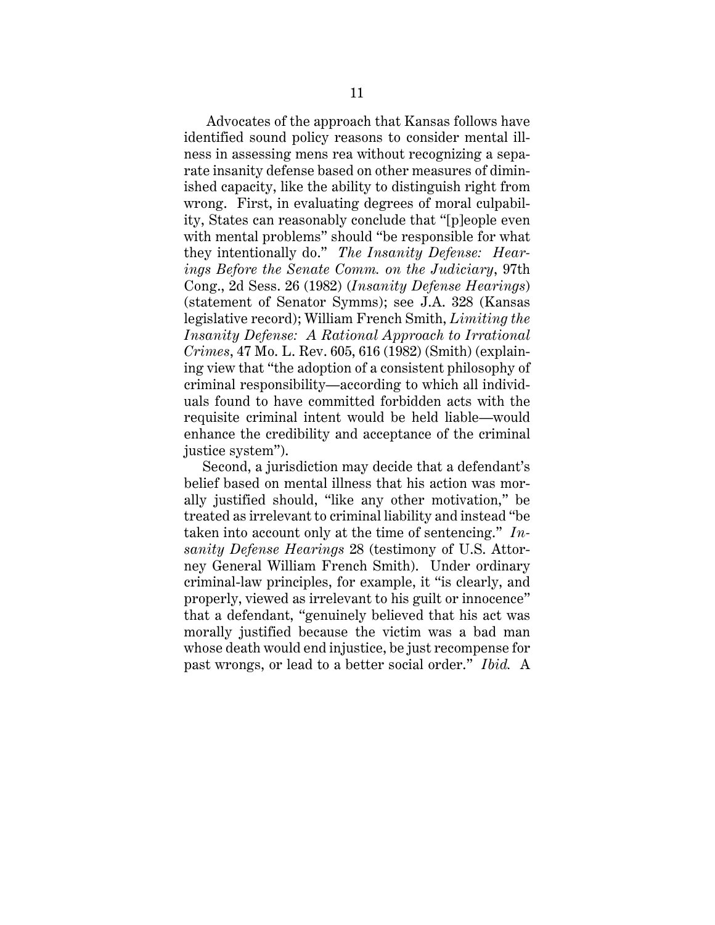Advocates of the approach that Kansas follows have identified sound policy reasons to consider mental illness in assessing mens rea without recognizing a separate insanity defense based on other measures of diminished capacity, like the ability to distinguish right from wrong. First, in evaluating degrees of moral culpability, States can reasonably conclude that "[p]eople even with mental problems" should "be responsible for what they intentionally do." *The Insanity Defense: Hearings Before the Senate Comm. on the Judiciary*, 97th Cong., 2d Sess. 26 (1982) (*Insanity Defense Hearings*) (statement of Senator Symms); see J.A. 328 (Kansas legislative record); William French Smith, *Limiting the Insanity Defense: A Rational Approach to Irrational Crimes*, 47 Mo. L. Rev. 605, 616 (1982) (Smith) (explaining view that "the adoption of a consistent philosophy of criminal responsibility—according to which all individuals found to have committed forbidden acts with the requisite criminal intent would be held liable—would enhance the credibility and acceptance of the criminal justice system").

Second, a jurisdiction may decide that a defendant's belief based on mental illness that his action was morally justified should, "like any other motivation," be treated as irrelevant to criminal liability and instead "be taken into account only at the time of sentencing." *Insanity Defense Hearings* 28 (testimony of U.S. Attorney General William French Smith). Under ordinary criminal-law principles, for example, it "is clearly, and properly, viewed as irrelevant to his guilt or innocence" that a defendant, "genuinely believed that his act was morally justified because the victim was a bad man whose death would end injustice, be just recompense for past wrongs, or lead to a better social order." *Ibid.* A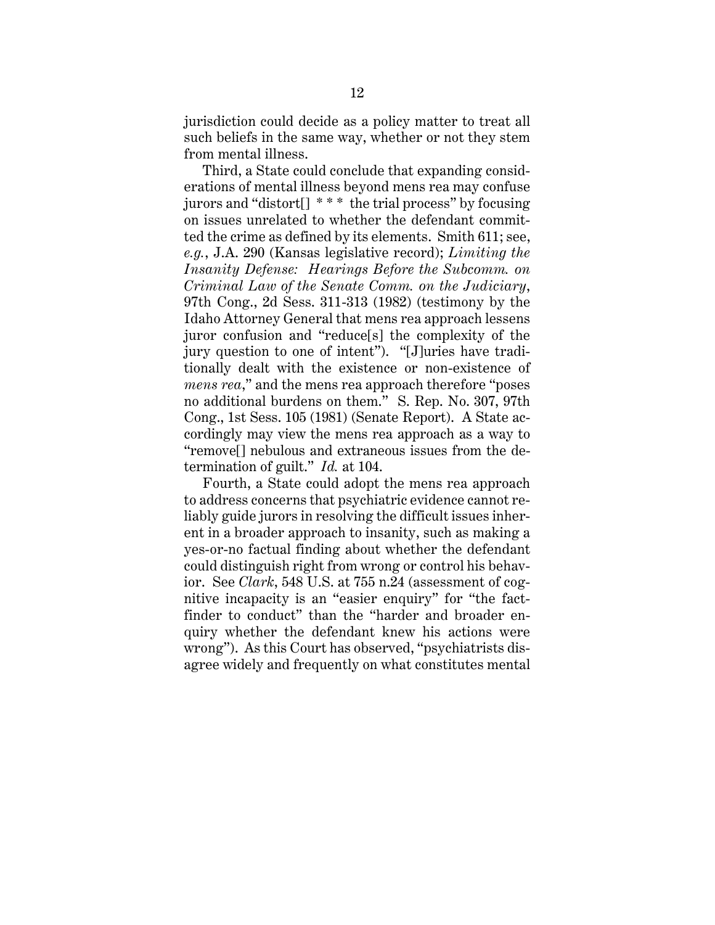jurisdiction could decide as a policy matter to treat all such beliefs in the same way, whether or not they stem from mental illness.

Third, a State could conclude that expanding considerations of mental illness beyond mens rea may confuse jurors and "distort[] \* \* \* the trial process" by focusing on issues unrelated to whether the defendant committed the crime as defined by its elements. Smith 611; see, *e.g.*, J.A. 290 (Kansas legislative record); *Limiting the Insanity Defense: Hearings Before the Subcomm. on Criminal Law of the Senate Comm. on the Judiciary*, 97th Cong., 2d Sess. 311-313 (1982) (testimony by the Idaho Attorney General that mens rea approach lessens juror confusion and "reduce[s] the complexity of the jury question to one of intent"). "[J]uries have traditionally dealt with the existence or non-existence of *mens rea*," and the mens rea approach therefore "poses no additional burdens on them." S. Rep. No. 307, 97th Cong., 1st Sess. 105 (1981) (Senate Report). A State accordingly may view the mens rea approach as a way to "remove[] nebulous and extraneous issues from the determination of guilt." *Id.* at 104.

Fourth, a State could adopt the mens rea approach to address concerns that psychiatric evidence cannot reliably guide jurors in resolving the difficult issues inherent in a broader approach to insanity, such as making a yes-or-no factual finding about whether the defendant could distinguish right from wrong or control his behavior. See *Clark*, 548 U.S. at 755 n.24 (assessment of cognitive incapacity is an "easier enquiry" for "the factfinder to conduct" than the "harder and broader enquiry whether the defendant knew his actions were wrong"). As this Court has observed, "psychiatrists disagree widely and frequently on what constitutes mental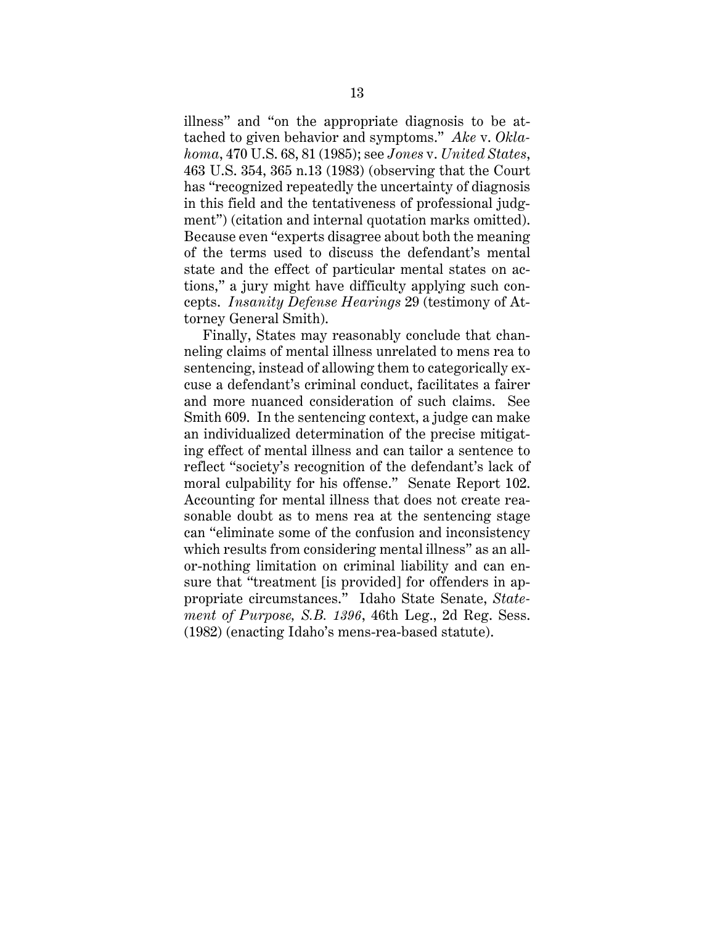illness" and "on the appropriate diagnosis to be attached to given behavior and symptoms." *Ake* v. *Oklahoma*, 470 U.S. 68, 81 (1985); see *Jones* v. *United States*, 463 U.S. 354, 365 n.13 (1983) (observing that the Court has "recognized repeatedly the uncertainty of diagnosis in this field and the tentativeness of professional judgment") (citation and internal quotation marks omitted). Because even "experts disagree about both the meaning of the terms used to discuss the defendant's mental state and the effect of particular mental states on actions," a jury might have difficulty applying such concepts. *Insanity Defense Hearings* 29 (testimony of Attorney General Smith).

Finally, States may reasonably conclude that channeling claims of mental illness unrelated to mens rea to sentencing, instead of allowing them to categorically excuse a defendant's criminal conduct, facilitates a fairer and more nuanced consideration of such claims. See Smith 609. In the sentencing context, a judge can make an individualized determination of the precise mitigating effect of mental illness and can tailor a sentence to reflect "society's recognition of the defendant's lack of moral culpability for his offense." Senate Report 102. Accounting for mental illness that does not create reasonable doubt as to mens rea at the sentencing stage can "eliminate some of the confusion and inconsistency which results from considering mental illness" as an allor-nothing limitation on criminal liability and can ensure that "treatment [is provided] for offenders in appropriate circumstances." Idaho State Senate, *Statement of Purpose, S.B. 1396*, 46th Leg., 2d Reg. Sess. (1982) (enacting Idaho's mens-rea-based statute).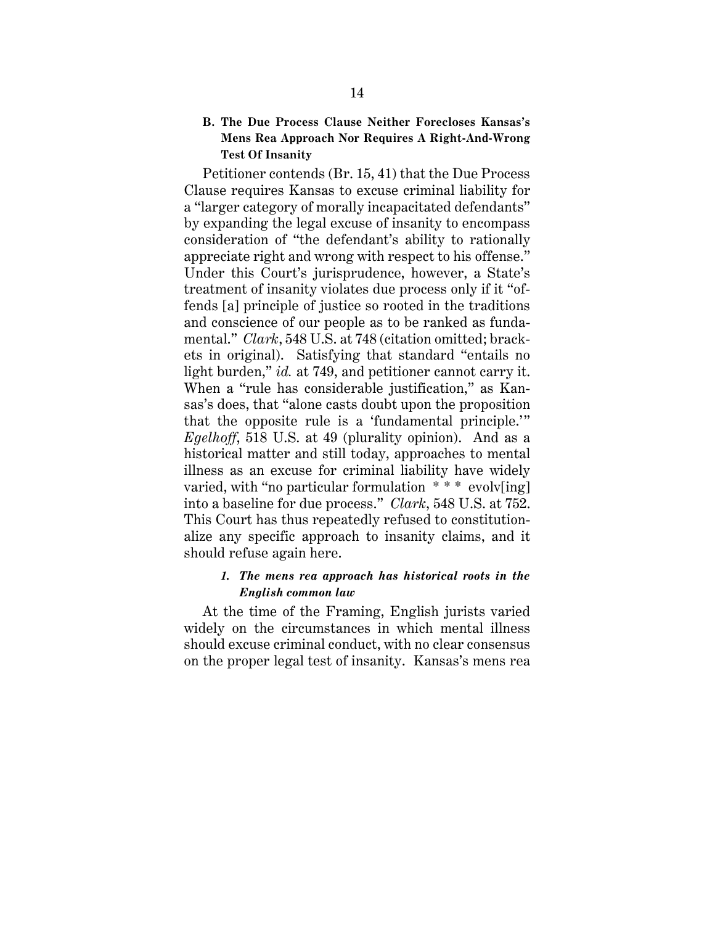#### **B. The Due Process Clause Neither Forecloses Kansas's Mens Rea Approach Nor Requires A Right-And-Wrong Test Of Insanity**

Petitioner contends (Br. 15, 41) that the Due Process Clause requires Kansas to excuse criminal liability for a "larger category of morally incapacitated defendants" by expanding the legal excuse of insanity to encompass consideration of "the defendant's ability to rationally appreciate right and wrong with respect to his offense." Under this Court's jurisprudence, however, a State's treatment of insanity violates due process only if it "offends [a] principle of justice so rooted in the traditions and conscience of our people as to be ranked as fundamental." *Clark*, 548 U.S. at 748 (citation omitted; brackets in original). Satisfying that standard "entails no light burden," *id.* at 749, and petitioner cannot carry it. When a "rule has considerable justification," as Kansas's does, that "alone casts doubt upon the proposition that the opposite rule is a 'fundamental principle.'" *Egelhoff*, 518 U.S. at 49 (plurality opinion). And as a historical matter and still today, approaches to mental illness as an excuse for criminal liability have widely varied, with "no particular formulation \*\*\* evolv[ing] into a baseline for due process." *Clark*, 548 U.S. at 752. This Court has thus repeatedly refused to constitutionalize any specific approach to insanity claims, and it should refuse again here.

#### *1. The mens rea approach has historical roots in the English common law*

At the time of the Framing, English jurists varied widely on the circumstances in which mental illness should excuse criminal conduct, with no clear consensus on the proper legal test of insanity. Kansas's mens rea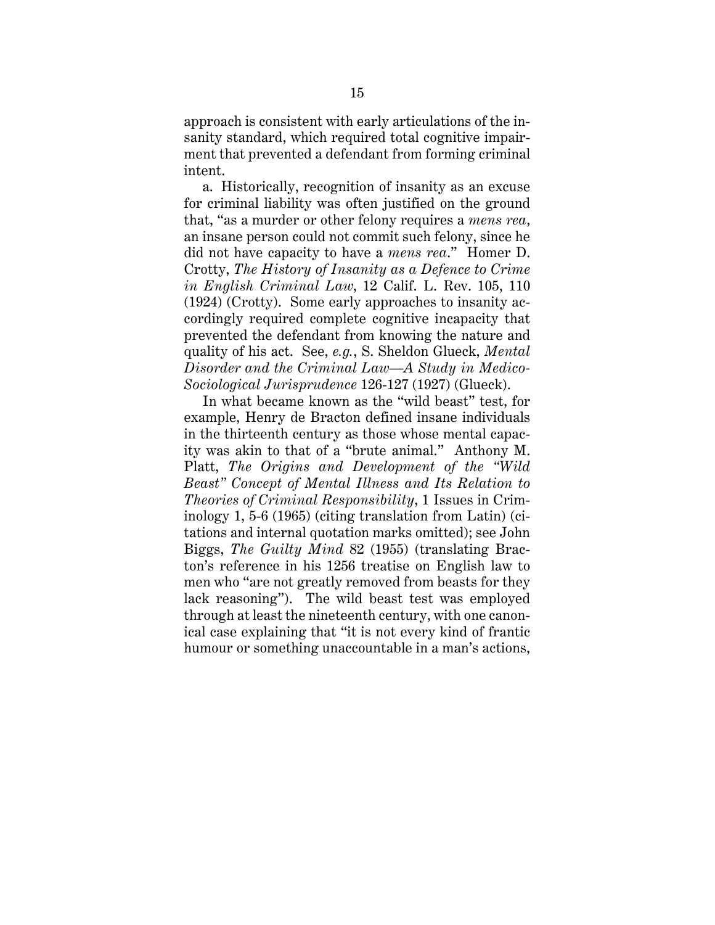approach is consistent with early articulations of the insanity standard, which required total cognitive impairment that prevented a defendant from forming criminal intent.

a. Historically, recognition of insanity as an excuse for criminal liability was often justified on the ground that, "as a murder or other felony requires a *mens rea*, an insane person could not commit such felony, since he did not have capacity to have a *mens rea*." Homer D. Crotty, *The History of Insanity as a Defence to Crime in English Criminal Law*, 12 Calif. L. Rev. 105, 110 (1924) (Crotty). Some early approaches to insanity accordingly required complete cognitive incapacity that prevented the defendant from knowing the nature and quality of his act. See, *e.g.*, S. Sheldon Glueck, *Mental Disorder and the Criminal Law—A Study in Medico-Sociological Jurisprudence* 126-127 (1927) (Glueck).

In what became known as the "wild beast" test, for example, Henry de Bracton defined insane individuals in the thirteenth century as those whose mental capacity was akin to that of a "brute animal." Anthony M. Platt, *The Origins and Development of the "Wild Beast" Concept of Mental Illness and Its Relation to Theories of Criminal Responsibility*, 1 Issues in Criminology 1, 5-6 (1965) (citing translation from Latin) (citations and internal quotation marks omitted); see John Biggs, *The Guilty Mind* 82 (1955) (translating Bracton's reference in his 1256 treatise on English law to men who "are not greatly removed from beasts for they lack reasoning"). The wild beast test was employed through at least the nineteenth century, with one canonical case explaining that "it is not every kind of frantic humour or something unaccountable in a man's actions,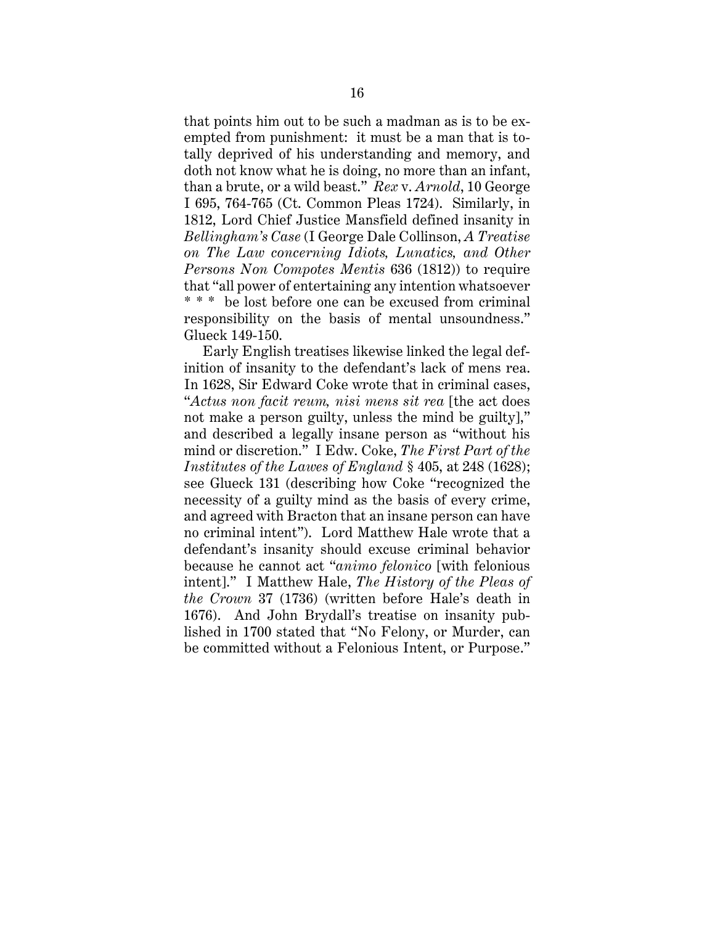that points him out to be such a madman as is to be exempted from punishment: it must be a man that is totally deprived of his understanding and memory, and doth not know what he is doing, no more than an infant, than a brute, or a wild beast." *Rex* v. *Arnold*, 10 George I 695, 764-765 (Ct. Common Pleas 1724). Similarly, in 1812, Lord Chief Justice Mansfield defined insanity in *Bellingham's Case* (I George Dale Collinson, *A Treatise on The Law concerning Idiots, Lunatics, and Other Persons Non Compotes Mentis* 636 (1812)) to require that "all power of entertaining any intention whatsoever \* \* \* be lost before one can be excused from criminal responsibility on the basis of mental unsoundness." Glueck 149-150.

Early English treatises likewise linked the legal definition of insanity to the defendant's lack of mens rea. In 1628, Sir Edward Coke wrote that in criminal cases, "*Actus non facit reum, nisi mens sit rea* [the act does not make a person guilty, unless the mind be guilty]," and described a legally insane person as "without his mind or discretion." I Edw. Coke, *The First Part of the Institutes of the Lawes of England* § 405, at 248 (1628); see Glueck 131 (describing how Coke "recognized the necessity of a guilty mind as the basis of every crime, and agreed with Bracton that an insane person can have no criminal intent"). Lord Matthew Hale wrote that a defendant's insanity should excuse criminal behavior because he cannot act "*animo felonico* [with felonious intent]." I Matthew Hale, *The History of the Pleas of the Crown* 37 (1736) (written before Hale's death in 1676). And John Brydall's treatise on insanity published in 1700 stated that "No Felony, or Murder, can be committed without a Felonious Intent, or Purpose."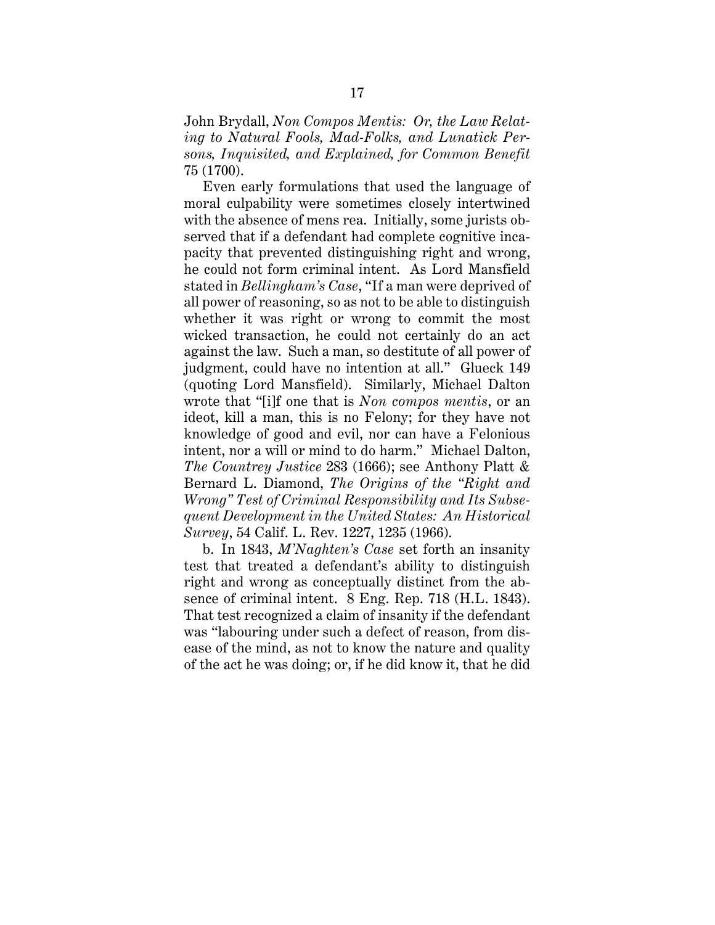John Brydall, *Non Compos Mentis: Or, the Law Relating to Natural Fools, Mad-Folks, and Lunatick Persons, Inquisited, and Explained, for Common Benefit* 75 (1700).

Even early formulations that used the language of moral culpability were sometimes closely intertwined with the absence of mens rea. Initially, some jurists observed that if a defendant had complete cognitive incapacity that prevented distinguishing right and wrong, he could not form criminal intent. As Lord Mansfield stated in *Bellingham's Case*, "If a man were deprived of all power of reasoning, so as not to be able to distinguish whether it was right or wrong to commit the most wicked transaction, he could not certainly do an act against the law. Such a man, so destitute of all power of judgment, could have no intention at all." Glueck 149 (quoting Lord Mansfield). Similarly, Michael Dalton wrote that "[i]f one that is *Non compos mentis*, or an ideot, kill a man, this is no Felony; for they have not knowledge of good and evil, nor can have a Felonious intent, nor a will or mind to do harm." Michael Dalton, *The Countrey Justice* 283 (1666); see Anthony Platt & Bernard L. Diamond, *The Origins of the "Right and Wrong" Test of Criminal Responsibility and Its Subsequent Development in the United States: An Historical Survey*, 54 Calif. L. Rev. 1227, 1235 (1966).

b. In 1843, *M'Naghten's Case* set forth an insanity test that treated a defendant's ability to distinguish right and wrong as conceptually distinct from the absence of criminal intent. 8 Eng. Rep. 718 (H.L. 1843). That test recognized a claim of insanity if the defendant was "labouring under such a defect of reason, from disease of the mind, as not to know the nature and quality of the act he was doing; or, if he did know it, that he did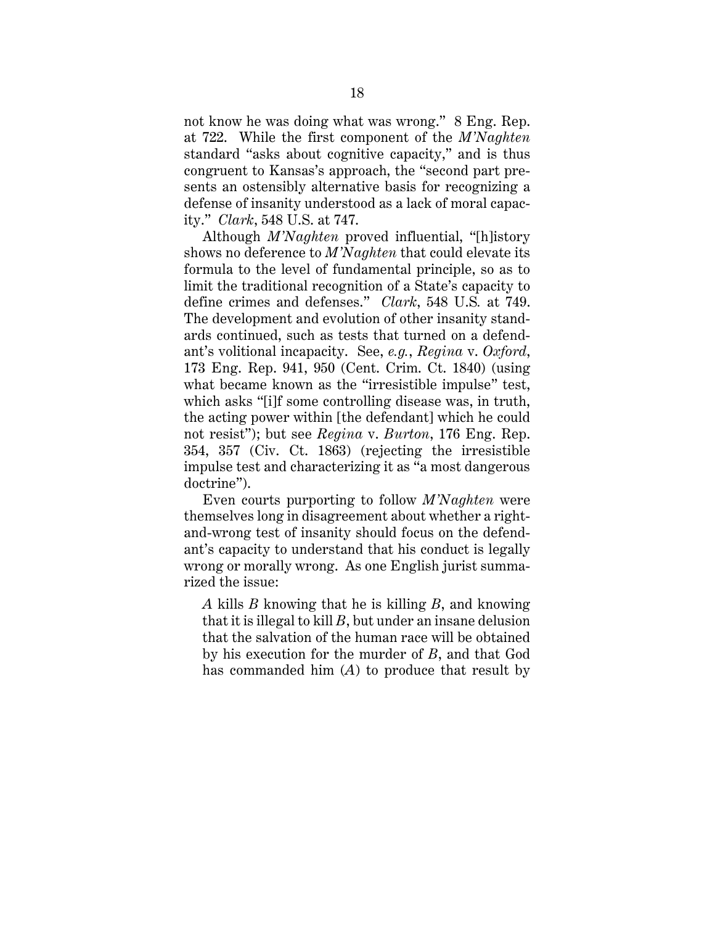not know he was doing what was wrong." 8 Eng. Rep. at 722. While the first component of the *M'Naghten* standard "asks about cognitive capacity," and is thus congruent to Kansas's approach, the "second part presents an ostensibly alternative basis for recognizing a defense of insanity understood as a lack of moral capacity." *Clark*, 548 U.S. at 747.

Although *M'Naghten* proved influential, "[h]istory shows no deference to *M'Naghten* that could elevate its formula to the level of fundamental principle, so as to limit the traditional recognition of a State's capacity to define crimes and defenses." *Clark*, 548 U.S*.* at 749. The development and evolution of other insanity standards continued, such as tests that turned on a defendant's volitional incapacity. See, *e.g.*, *Regina* v. *Oxford*, 173 Eng. Rep. 941, 950 (Cent. Crim. Ct. 1840) (using what became known as the "irresistible impulse" test, which asks "[i]f some controlling disease was, in truth, the acting power within [the defendant] which he could not resist"); but see *Regina* v. *Burton*, 176 Eng. Rep. 354, 357 (Civ. Ct. 1863) (rejecting the irresistible impulse test and characterizing it as "a most dangerous doctrine").

Even courts purporting to follow *M'Naghten* were themselves long in disagreement about whether a rightand-wrong test of insanity should focus on the defendant's capacity to understand that his conduct is legally wrong or morally wrong. As one English jurist summarized the issue:

*A* kills *B* knowing that he is killing *B*, and knowing that it is illegal to kill *B*, but under an insane delusion that the salvation of the human race will be obtained by his execution for the murder of *B*, and that God has commanded him (*A*) to produce that result by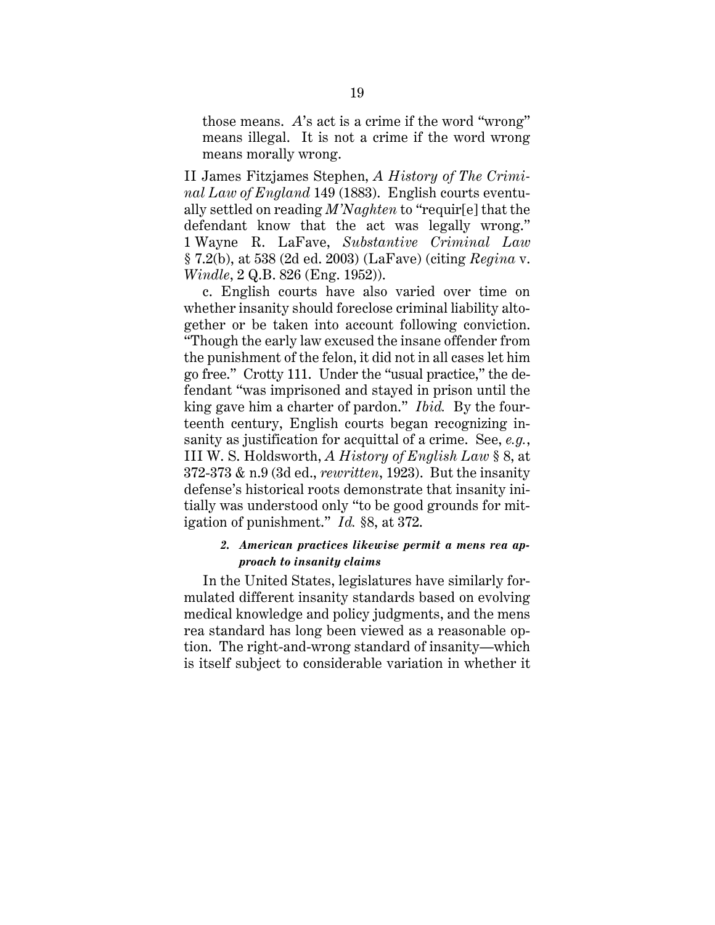those means. *A*'s act is a crime if the word "wrong" means illegal. It is not a crime if the word wrong means morally wrong.

II James Fitzjames Stephen, *A History of The Criminal Law of England* 149 (1883). English courts eventually settled on reading *M'Naghten* to "requir[e] that the defendant know that the act was legally wrong." 1 Wayne R. LaFave, *Substantive Criminal Law* § 7.2(b), at 538 (2d ed. 2003) (LaFave) (citing *Regina* v. *Windle*, 2 Q.B. 826 (Eng. 1952)).

 c. English courts have also varied over time on whether insanity should foreclose criminal liability altogether or be taken into account following conviction. "Though the early law excused the insane offender from the punishment of the felon, it did not in all cases let him go free." Crotty 111. Under the "usual practice," the defendant "was imprisoned and stayed in prison until the king gave him a charter of pardon." *Ibid.* By the fourteenth century, English courts began recognizing insanity as justification for acquittal of a crime. See, *e.g.*, III W. S. Holdsworth, *A History of English Law* § 8, at 372-373 & n.9 (3d ed., *rewritten*, 1923). But the insanity defense's historical roots demonstrate that insanity initially was understood only "to be good grounds for mitigation of punishment." *Id.* §8, at 372.

#### *2. American practices likewise permit a mens rea approach to insanity claims*

In the United States, legislatures have similarly formulated different insanity standards based on evolving medical knowledge and policy judgments, and the mens rea standard has long been viewed as a reasonable option. The right-and-wrong standard of insanity—which is itself subject to considerable variation in whether it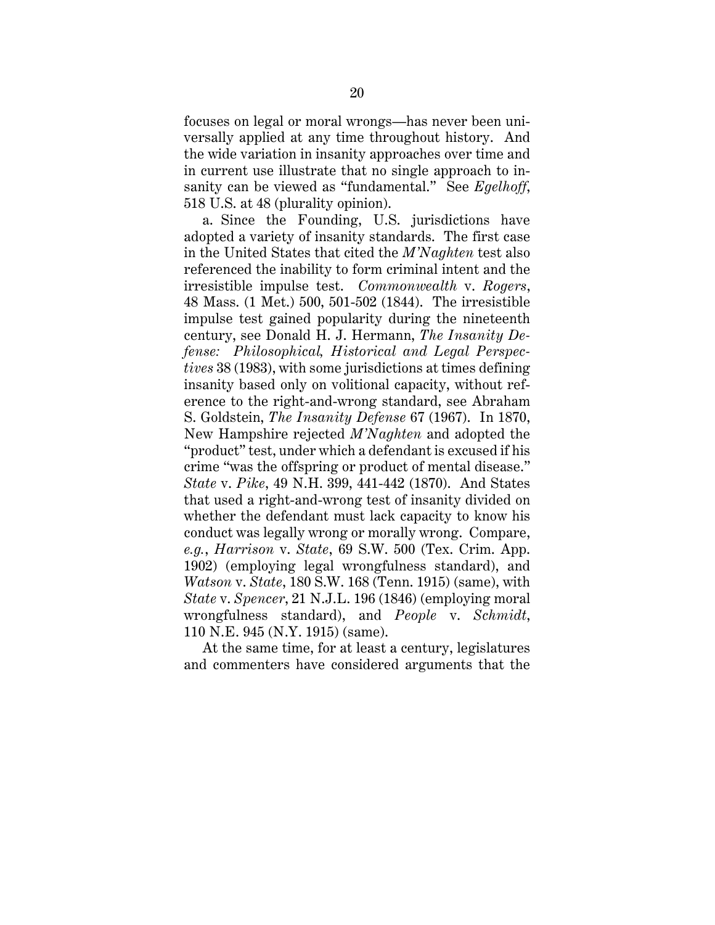focuses on legal or moral wrongs—has never been universally applied at any time throughout history. And the wide variation in insanity approaches over time and in current use illustrate that no single approach to insanity can be viewed as "fundamental." See *Egelhoff*, 518 U.S. at 48 (plurality opinion).

a. Since the Founding, U.S. jurisdictions have adopted a variety of insanity standards. The first case in the United States that cited the *M'Naghten* test also referenced the inability to form criminal intent and the irresistible impulse test. *Commonwealth* v. *Rogers*, 48 Mass. (1 Met.) 500, 501-502 (1844). The irresistible impulse test gained popularity during the nineteenth century, see Donald H. J. Hermann, *The Insanity Defense: Philosophical, Historical and Legal Perspectives* 38 (1983), with some jurisdictions at times defining insanity based only on volitional capacity, without reference to the right-and-wrong standard, see Abraham S. Goldstein, *The Insanity Defense* 67 (1967). In 1870, New Hampshire rejected *M'Naghten* and adopted the "product" test, under which a defendant is excused if his crime "was the offspring or product of mental disease." *State* v. *Pike*, 49 N.H. 399, 441-442 (1870). And States that used a right-and-wrong test of insanity divided on whether the defendant must lack capacity to know his conduct was legally wrong or morally wrong. Compare, *e.g.*, *Harrison* v. *State*, 69 S.W. 500 (Tex. Crim. App. 1902) (employing legal wrongfulness standard), and *Watson* v. *State*, 180 S.W. 168 (Tenn. 1915) (same), with *State* v. *Spencer*, 21 N.J.L. 196 (1846) (employing moral wrongfulness standard), and *People* v. *Schmidt*, 110 N.E. 945 (N.Y. 1915) (same).

At the same time, for at least a century, legislatures and commenters have considered arguments that the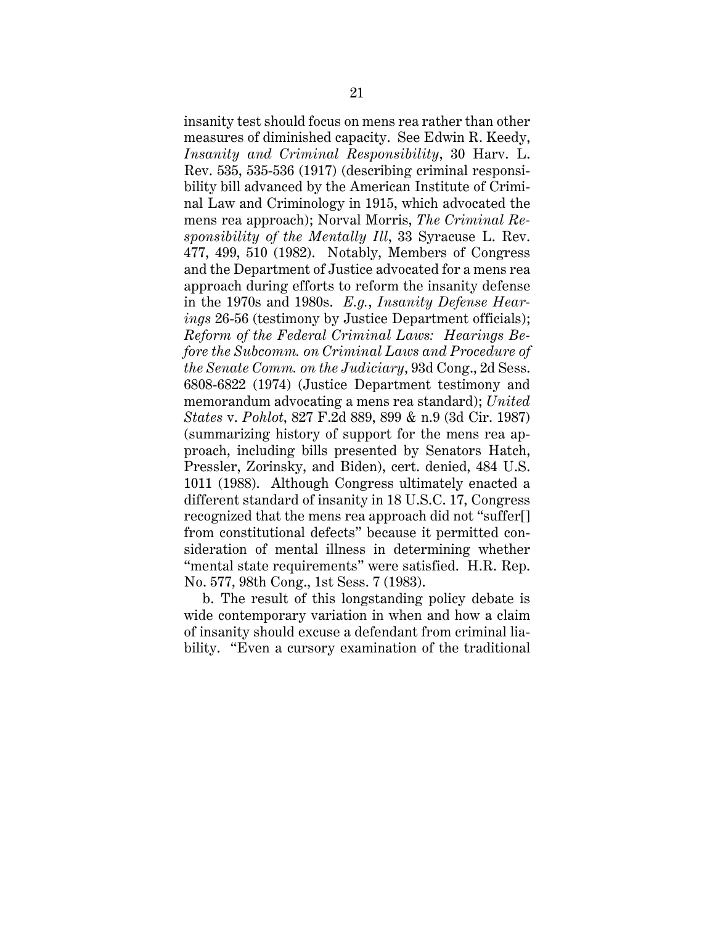insanity test should focus on mens rea rather than other measures of diminished capacity. See Edwin R. Keedy, *Insanity and Criminal Responsibility*, 30 Harv. L. Rev. 535, 535-536 (1917) (describing criminal responsibility bill advanced by the American Institute of Criminal Law and Criminology in 1915, which advocated the mens rea approach); Norval Morris, *The Criminal Responsibility of the Mentally Ill*, 33 Syracuse L. Rev. 477, 499, 510 (1982). Notably, Members of Congress and the Department of Justice advocated for a mens rea approach during efforts to reform the insanity defense in the 1970s and 1980s. *E.g.*, *Insanity Defense Hearings* 26-56 (testimony by Justice Department officials); *Reform of the Federal Criminal Laws: Hearings Before the Subcomm. on Criminal Laws and Procedure of the Senate Comm. on the Judiciary*, 93d Cong., 2d Sess. 6808-6822 (1974) (Justice Department testimony and memorandum advocating a mens rea standard); *United States* v. *Pohlot*, 827 F.2d 889, 899 & n.9 (3d Cir. 1987) (summarizing history of support for the mens rea approach, including bills presented by Senators Hatch, Pressler, Zorinsky, and Biden), cert. denied, 484 U.S. 1011 (1988). Although Congress ultimately enacted a different standard of insanity in 18 U.S.C. 17, Congress recognized that the mens rea approach did not "suffer[] from constitutional defects" because it permitted consideration of mental illness in determining whether "mental state requirements" were satisfied. H.R. Rep. No. 577, 98th Cong., 1st Sess. 7 (1983).

b. The result of this longstanding policy debate is wide contemporary variation in when and how a claim of insanity should excuse a defendant from criminal liability. "Even a cursory examination of the traditional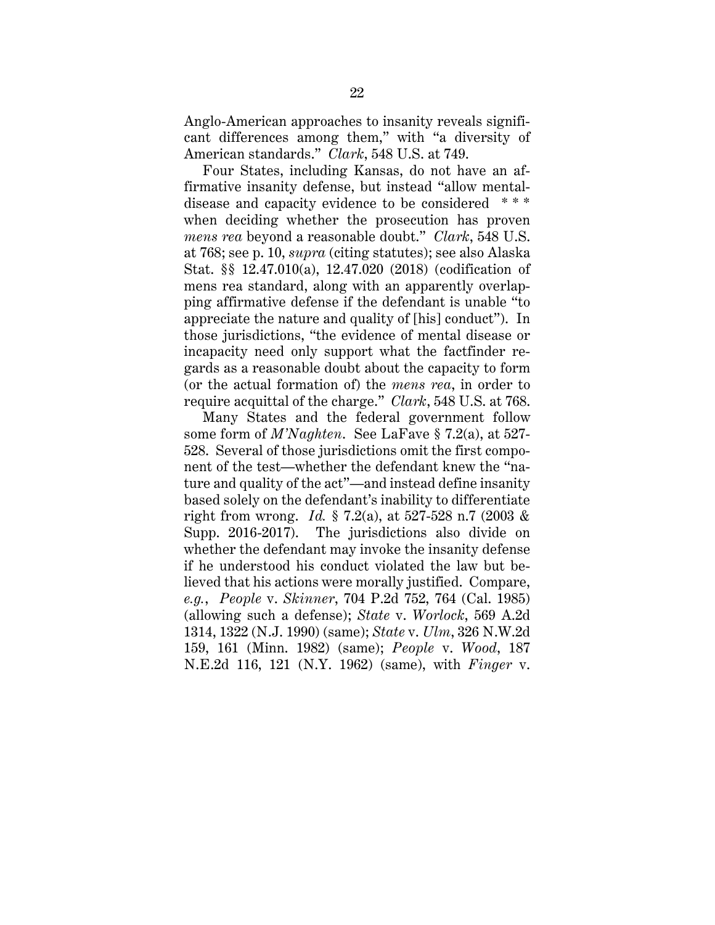Anglo-American approaches to insanity reveals significant differences among them," with "a diversity of American standards." *Clark*, 548 U.S. at 749.

Four States, including Kansas, do not have an affirmative insanity defense, but instead "allow mentaldisease and capacity evidence to be considered \* \* \* when deciding whether the prosecution has proven *mens rea* beyond a reasonable doubt." *Clark*, 548 U.S. at 768; see p. 10, *supra* (citing statutes); see also Alaska Stat. §§ 12.47.010(a), 12.47.020 (2018) (codification of mens rea standard, along with an apparently overlapping affirmative defense if the defendant is unable "to appreciate the nature and quality of [his] conduct"). In those jurisdictions, "the evidence of mental disease or incapacity need only support what the factfinder regards as a reasonable doubt about the capacity to form (or the actual formation of) the *mens rea*, in order to require acquittal of the charge." *Clark*, 548 U.S. at 768.

Many States and the federal government follow some form of *M'Naghten*. See LaFave § 7.2(a), at 527- 528. Several of those jurisdictions omit the first component of the test—whether the defendant knew the "nature and quality of the act"—and instead define insanity based solely on the defendant's inability to differentiate right from wrong. *Id.* § 7.2(a), at 527-528 n.7 (2003 & Supp. 2016-2017). The jurisdictions also divide on whether the defendant may invoke the insanity defense if he understood his conduct violated the law but believed that his actions were morally justified. Compare, *e.g.*, *People* v. *Skinner*, 704 P.2d 752, 764 (Cal. 1985) (allowing such a defense); *State* v. *Worlock*, 569 A.2d 1314, 1322 (N.J. 1990) (same); *State* v. *Ulm*, 326 N.W.2d 159, 161 (Minn. 1982) (same); *People* v. *Wood*, 187 N.E.2d 116, 121 (N.Y. 1962) (same), with *Finger* v.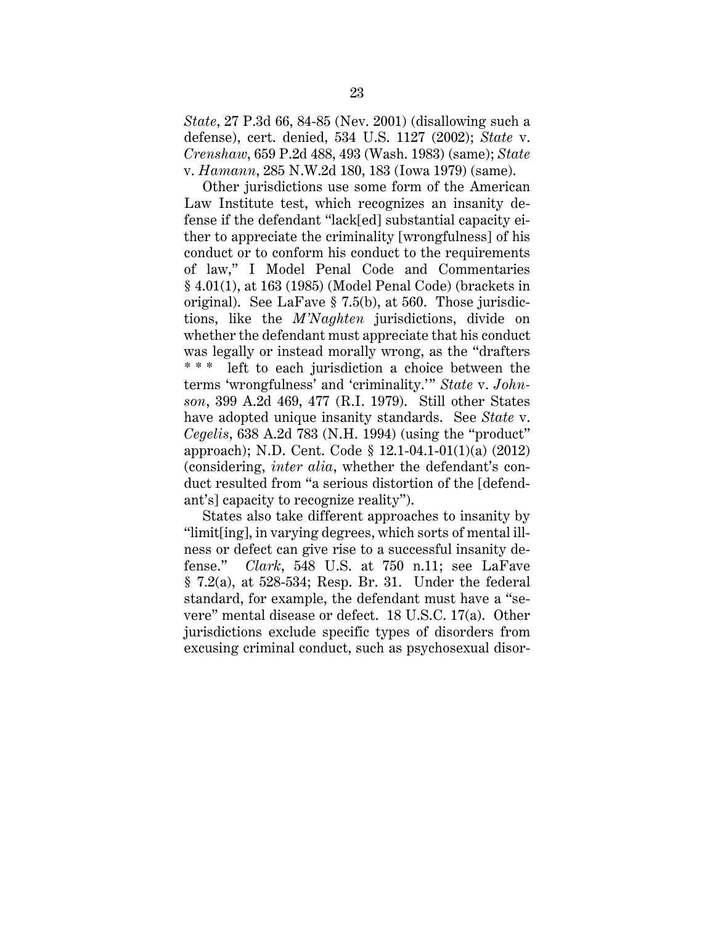*State*, 27 P.3d 66, 84-85 (Nev. 2001) (disallowing such a defense), cert. denied, 534 U.S. 1127 (2002); *State* v. *Crenshaw*, 659 P.2d 488, 493 (Wash. 1983) (same); *State*  v. *Hamann*, 285 N.W.2d 180, 183 (Iowa 1979) (same).

Other jurisdictions use some form of the American Law Institute test, which recognizes an insanity defense if the defendant "lack[ed] substantial capacity either to appreciate the criminality [wrongfulness] of his conduct or to conform his conduct to the requirements of law," I Model Penal Code and Commentaries § 4.01(1), at 163 (1985) (Model Penal Code) (brackets in original). See LaFave § 7.5(b), at 560. Those jurisdictions, like the *M'Naghten* jurisdictions, divide on whether the defendant must appreciate that his conduct was legally or instead morally wrong, as the "drafters left to each jurisdiction a choice between the terms 'wrongfulness' and 'criminality.'" *State* v. *Johnson*, 399 A.2d 469, 477 (R.I. 1979). Still other States have adopted unique insanity standards. See *State* v. *Cegelis*, 638 A.2d 783 (N.H. 1994) (using the "product" approach); N.D. Cent. Code § 12.1-04.1-01(1)(a) (2012) (considering, *inter alia*, whether the defendant's conduct resulted from "a serious distortion of the [defendant's] capacity to recognize reality").

States also take different approaches to insanity by "limit[ing], in varying degrees, which sorts of mental illness or defect can give rise to a successful insanity defense." *Clark*, 548 U.S. at 750 n.11; see LaFave § 7.2(a), at 528-534; Resp. Br. 31. Under the federal standard, for example, the defendant must have a "severe" mental disease or defect. 18 U.S.C. 17(a). Other jurisdictions exclude specific types of disorders from excusing criminal conduct, such as psychosexual disor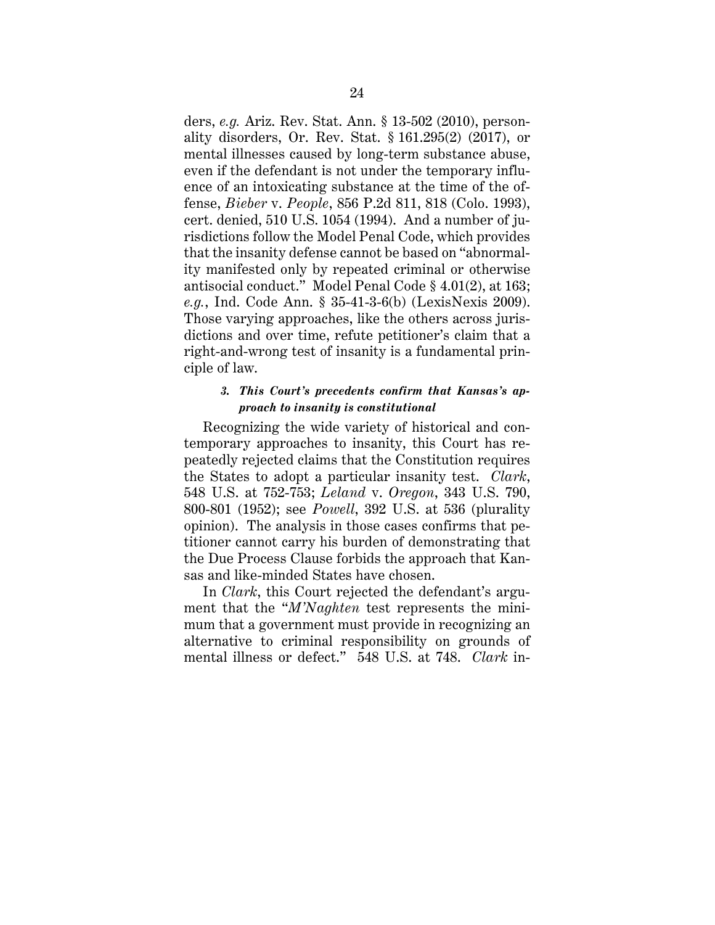ders, *e.g.* Ariz. Rev. Stat. Ann. § 13-502 (2010), personality disorders, Or. Rev. Stat. § 161.295(2) (2017), or mental illnesses caused by long-term substance abuse, even if the defendant is not under the temporary influence of an intoxicating substance at the time of the offense, *Bieber* v. *People*, 856 P.2d 811, 818 (Colo. 1993), cert. denied, 510 U.S. 1054 (1994). And a number of jurisdictions follow the Model Penal Code, which provides that the insanity defense cannot be based on "abnormality manifested only by repeated criminal or otherwise antisocial conduct." Model Penal Code § 4.01(2), at 163; *e.g.*, Ind. Code Ann. § 35-41-3-6(b) (LexisNexis 2009). Those varying approaches, like the others across jurisdictions and over time, refute petitioner's claim that a right-and-wrong test of insanity is a fundamental principle of law.

#### *3. This Court's precedents confirm that Kansas's approach to insanity is constitutional*

Recognizing the wide variety of historical and contemporary approaches to insanity, this Court has repeatedly rejected claims that the Constitution requires the States to adopt a particular insanity test. *Clark*, 548 U.S. at 752-753; *Leland* v. *Oregon*, 343 U.S. 790, 800-801 (1952); see *Powell*, 392 U.S. at 536 (plurality opinion). The analysis in those cases confirms that petitioner cannot carry his burden of demonstrating that the Due Process Clause forbids the approach that Kansas and like-minded States have chosen.

In *Clark*, this Court rejected the defendant's argument that the "*M'Naghten* test represents the minimum that a government must provide in recognizing an alternative to criminal responsibility on grounds of mental illness or defect." 548 U.S. at 748. *Clark* in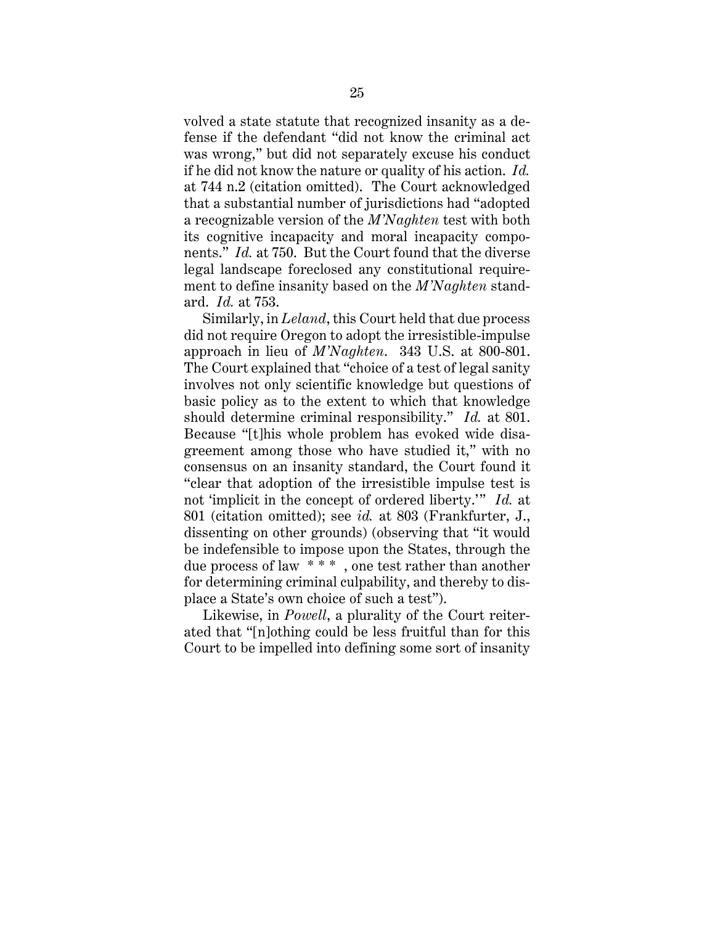volved a state statute that recognized insanity as a defense if the defendant "did not know the criminal act was wrong," but did not separately excuse his conduct if he did not know the nature or quality of his action. *Id.* at 744 n.2 (citation omitted). The Court acknowledged that a substantial number of jurisdictions had "adopted a recognizable version of the *M'Naghten* test with both its cognitive incapacity and moral incapacity components." *Id.* at 750. But the Court found that the diverse legal landscape foreclosed any constitutional requirement to define insanity based on the *M'Naghten* standard. *Id.* at 753.

Similarly, in *Leland*, this Court held that due process did not require Oregon to adopt the irresistible-impulse approach in lieu of *M'Naghten*. 343 U.S. at 800-801. The Court explained that "choice of a test of legal sanity involves not only scientific knowledge but questions of basic policy as to the extent to which that knowledge should determine criminal responsibility." *Id.* at 801. Because "[t]his whole problem has evoked wide disagreement among those who have studied it," with no consensus on an insanity standard, the Court found it "clear that adoption of the irresistible impulse test is not 'implicit in the concept of ordered liberty.'" *Id.* at 801 (citation omitted); see *id.* at 803 (Frankfurter, J., dissenting on other grounds) (observing that "it would be indefensible to impose upon the States, through the due process of law \* \* \* , one test rather than another for determining criminal culpability, and thereby to displace a State's own choice of such a test").

Likewise, in *Powell*, a plurality of the Court reiterated that "[n]othing could be less fruitful than for this Court to be impelled into defining some sort of insanity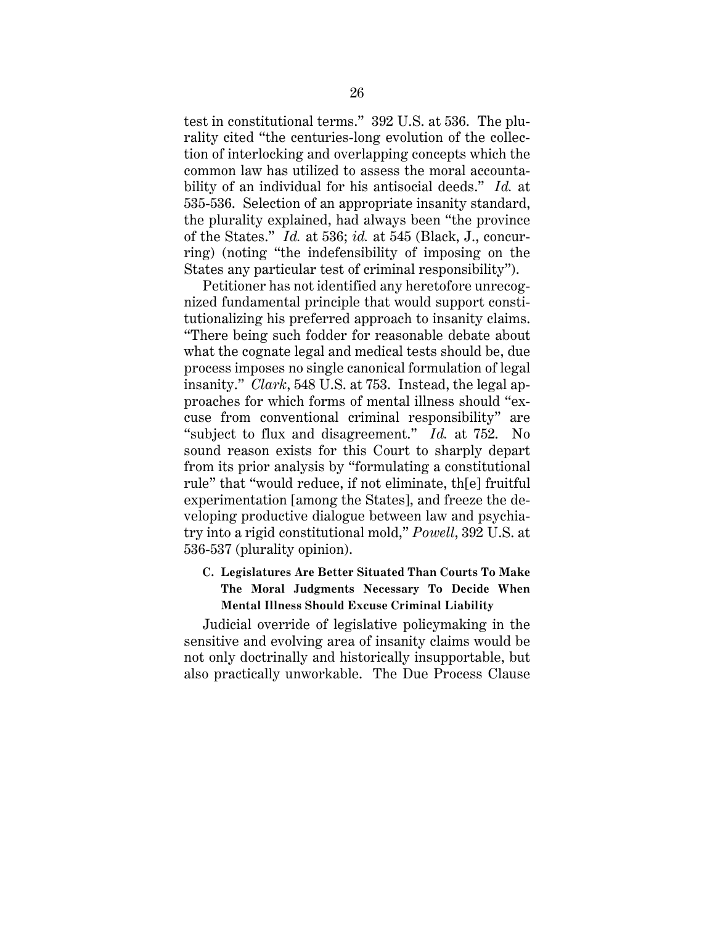test in constitutional terms." 392 U.S. at 536. The plurality cited "the centuries-long evolution of the collection of interlocking and overlapping concepts which the common law has utilized to assess the moral accountability of an individual for his antisocial deeds." *Id.* at 535-536. Selection of an appropriate insanity standard, the plurality explained, had always been "the province of the States." *Id.* at 536; *id.* at 545 (Black, J., concurring) (noting "the indefensibility of imposing on the States any particular test of criminal responsibility").

Petitioner has not identified any heretofore unrecognized fundamental principle that would support constitutionalizing his preferred approach to insanity claims. "There being such fodder for reasonable debate about what the cognate legal and medical tests should be, due process imposes no single canonical formulation of legal insanity." *Clark*, 548 U.S. at 753. Instead, the legal approaches for which forms of mental illness should "excuse from conventional criminal responsibility" are "subject to flux and disagreement." *Id.* at 752. No sound reason exists for this Court to sharply depart from its prior analysis by "formulating a constitutional rule" that "would reduce, if not eliminate, th[e] fruitful experimentation [among the States], and freeze the developing productive dialogue between law and psychiatry into a rigid constitutional mold," *Powell*, 392 U.S. at 536-537 (plurality opinion).

### **C. Legislatures Are Better Situated Than Courts To Make The Moral Judgments Necessary To Decide When Mental Illness Should Excuse Criminal Liability**

Judicial override of legislative policymaking in the sensitive and evolving area of insanity claims would be not only doctrinally and historically insupportable, but also practically unworkable. The Due Process Clause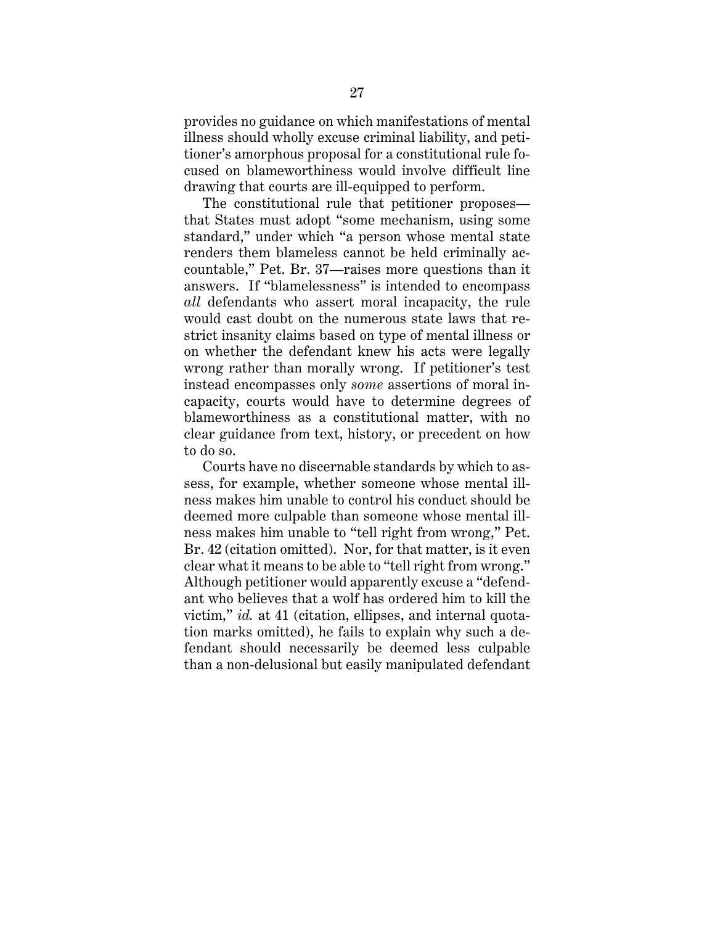provides no guidance on which manifestations of mental illness should wholly excuse criminal liability, and petitioner's amorphous proposal for a constitutional rule focused on blameworthiness would involve difficult line drawing that courts are ill-equipped to perform.

The constitutional rule that petitioner proposes that States must adopt "some mechanism, using some standard," under which "a person whose mental state renders them blameless cannot be held criminally accountable," Pet. Br. 37—raises more questions than it answers. If "blamelessness" is intended to encompass *all* defendants who assert moral incapacity, the rule would cast doubt on the numerous state laws that restrict insanity claims based on type of mental illness or on whether the defendant knew his acts were legally wrong rather than morally wrong. If petitioner's test instead encompasses only *some* assertions of moral incapacity, courts would have to determine degrees of blameworthiness as a constitutional matter, with no clear guidance from text, history, or precedent on how to do so.

Courts have no discernable standards by which to assess, for example, whether someone whose mental illness makes him unable to control his conduct should be deemed more culpable than someone whose mental illness makes him unable to "tell right from wrong," Pet. Br. 42 (citation omitted). Nor, for that matter, is it even clear what it means to be able to "tell right from wrong." Although petitioner would apparently excuse a "defendant who believes that a wolf has ordered him to kill the victim," *id.* at 41 (citation, ellipses, and internal quotation marks omitted), he fails to explain why such a defendant should necessarily be deemed less culpable than a non-delusional but easily manipulated defendant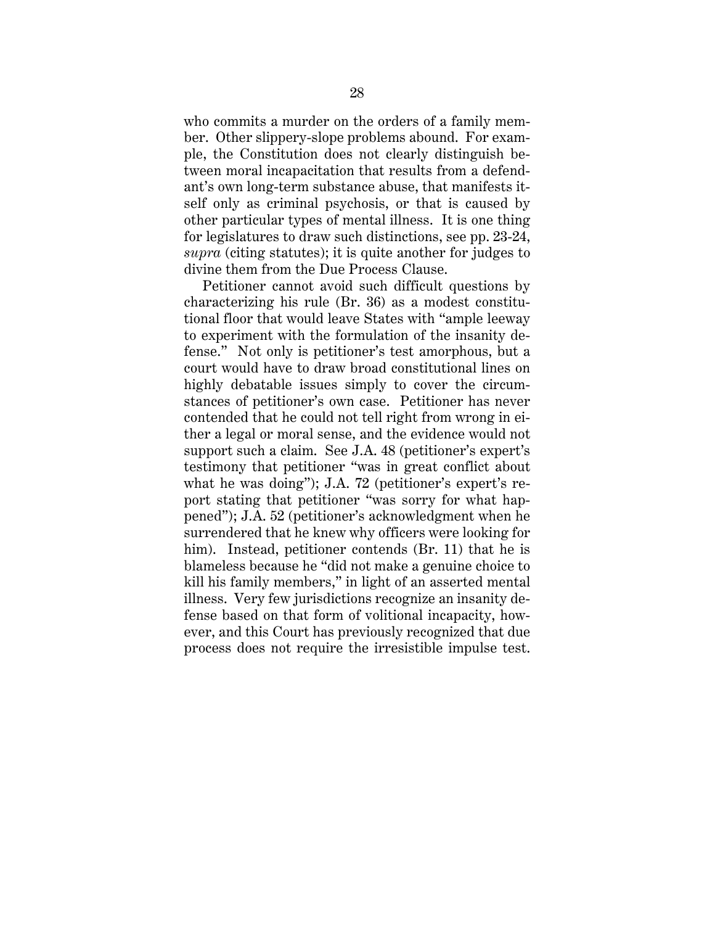who commits a murder on the orders of a family member. Other slippery-slope problems abound. For example, the Constitution does not clearly distinguish between moral incapacitation that results from a defendant's own long-term substance abuse, that manifests itself only as criminal psychosis, or that is caused by other particular types of mental illness. It is one thing for legislatures to draw such distinctions, see pp. 23-24, *supra* (citing statutes); it is quite another for judges to divine them from the Due Process Clause.

Petitioner cannot avoid such difficult questions by characterizing his rule (Br. 36) as a modest constitutional floor that would leave States with "ample leeway to experiment with the formulation of the insanity defense." Not only is petitioner's test amorphous, but a court would have to draw broad constitutional lines on highly debatable issues simply to cover the circumstances of petitioner's own case. Petitioner has never contended that he could not tell right from wrong in either a legal or moral sense, and the evidence would not support such a claim. See J.A. 48 (petitioner's expert's testimony that petitioner "was in great conflict about what he was doing"); J.A. 72 (petitioner's expert's report stating that petitioner "was sorry for what happened"); J.A. 52 (petitioner's acknowledgment when he surrendered that he knew why officers were looking for him). Instead, petitioner contends (Br. 11) that he is blameless because he "did not make a genuine choice to kill his family members," in light of an asserted mental illness. Very few jurisdictions recognize an insanity defense based on that form of volitional incapacity, however, and this Court has previously recognized that due process does not require the irresistible impulse test.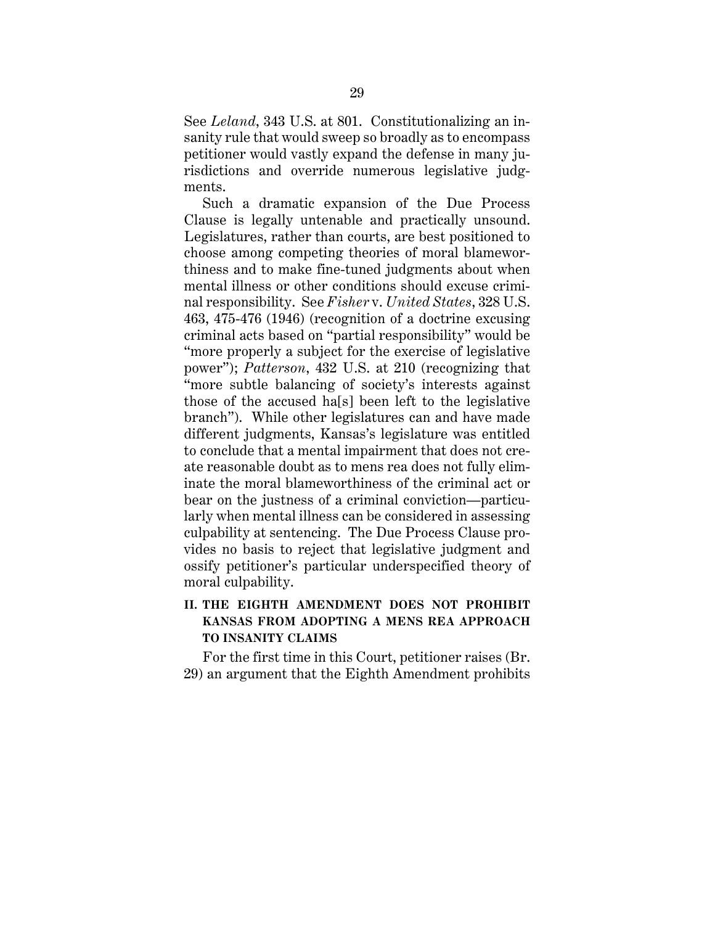See *Leland*, 343 U.S. at 801. Constitutionalizing an insanity rule that would sweep so broadly as to encompass petitioner would vastly expand the defense in many jurisdictions and override numerous legislative judgments.

Such a dramatic expansion of the Due Process Clause is legally untenable and practically unsound. Legislatures, rather than courts, are best positioned to choose among competing theories of moral blameworthiness and to make fine-tuned judgments about when mental illness or other conditions should excuse criminal responsibility. See *Fisher* v. *United States*, 328 U.S. 463, 475-476 (1946) (recognition of a doctrine excusing criminal acts based on "partial responsibility" would be "more properly a subject for the exercise of legislative power"); *Patterson*, 432 U.S. at 210 (recognizing that "more subtle balancing of society's interests against those of the accused ha[s] been left to the legislative branch"). While other legislatures can and have made different judgments, Kansas's legislature was entitled to conclude that a mental impairment that does not create reasonable doubt as to mens rea does not fully eliminate the moral blameworthiness of the criminal act or bear on the justness of a criminal conviction—particularly when mental illness can be considered in assessing culpability at sentencing. The Due Process Clause provides no basis to reject that legislative judgment and ossify petitioner's particular underspecified theory of moral culpability.

## **II. THE EIGHTH AMENDMENT DOES NOT PROHIBIT KANSAS FROM ADOPTING A MENS REA APPROACH TO INSANITY CLAIMS**

For the first time in this Court, petitioner raises (Br. 29) an argument that the Eighth Amendment prohibits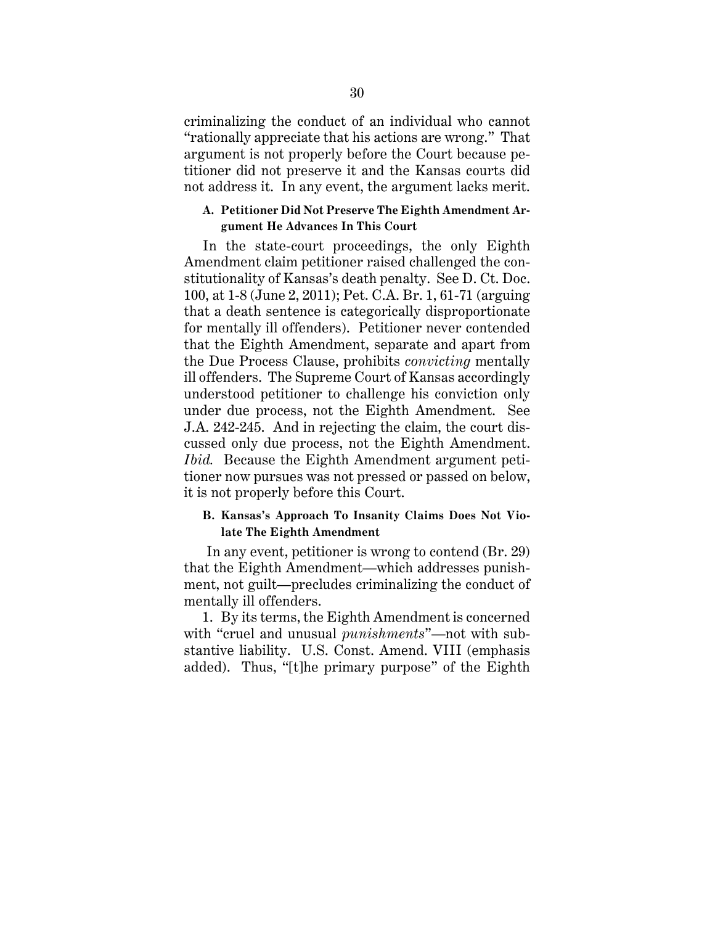criminalizing the conduct of an individual who cannot "rationally appreciate that his actions are wrong." That argument is not properly before the Court because petitioner did not preserve it and the Kansas courts did not address it. In any event, the argument lacks merit.

#### **A. Petitioner Did Not Preserve The Eighth Amendment Argument He Advances In This Court**

In the state-court proceedings, the only Eighth Amendment claim petitioner raised challenged the constitutionality of Kansas's death penalty. See D. Ct. Doc. 100, at 1-8 (June 2, 2011); Pet. C.A. Br. 1, 61-71 (arguing that a death sentence is categorically disproportionate for mentally ill offenders). Petitioner never contended that the Eighth Amendment, separate and apart from the Due Process Clause, prohibits *convicting* mentally ill offenders. The Supreme Court of Kansas accordingly understood petitioner to challenge his conviction only under due process, not the Eighth Amendment. See J.A. 242-245. And in rejecting the claim, the court discussed only due process, not the Eighth Amendment. *Ibid.* Because the Eighth Amendment argument petitioner now pursues was not pressed or passed on below, it is not properly before this Court.

#### **B. Kansas's Approach To Insanity Claims Does Not Violate The Eighth Amendment**

In any event, petitioner is wrong to contend (Br. 29) that the Eighth Amendment—which addresses punishment, not guilt—precludes criminalizing the conduct of mentally ill offenders.

1. By its terms, the Eighth Amendment is concerned with "cruel and unusual *punishments*"—not with substantive liability. U.S. Const. Amend. VIII (emphasis added). Thus, "[t]he primary purpose" of the Eighth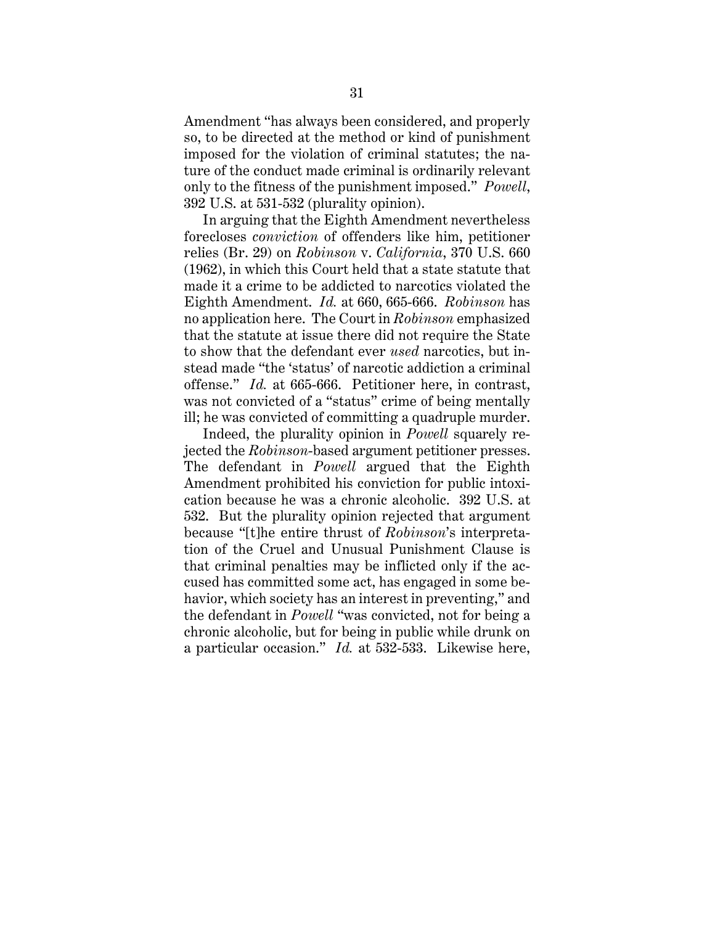Amendment "has always been considered, and properly so, to be directed at the method or kind of punishment imposed for the violation of criminal statutes; the nature of the conduct made criminal is ordinarily relevant only to the fitness of the punishment imposed." *Powell*, 392 U.S. at 531-532 (plurality opinion).

In arguing that the Eighth Amendment nevertheless forecloses *conviction* of offenders like him, petitioner relies (Br. 29) on *Robinson* v. *California*, 370 U.S. 660 (1962), in which this Court held that a state statute that made it a crime to be addicted to narcotics violated the Eighth Amendment. *Id.* at 660, 665-666. *Robinson* has no application here. The Court in *Robinson* emphasized that the statute at issue there did not require the State to show that the defendant ever *used* narcotics, but instead made "the 'status' of narcotic addiction a criminal offense." *Id.* at 665-666. Petitioner here, in contrast, was not convicted of a "status" crime of being mentally ill; he was convicted of committing a quadruple murder.

Indeed, the plurality opinion in *Powell* squarely rejected the *Robinson*-based argument petitioner presses. The defendant in *Powell* argued that the Eighth Amendment prohibited his conviction for public intoxication because he was a chronic alcoholic. 392 U.S. at 532. But the plurality opinion rejected that argument because "[t]he entire thrust of *Robinson*'s interpretation of the Cruel and Unusual Punishment Clause is that criminal penalties may be inflicted only if the accused has committed some act, has engaged in some behavior, which society has an interest in preventing," and the defendant in *Powell* "was convicted, not for being a chronic alcoholic, but for being in public while drunk on a particular occasion." *Id.* at 532-533. Likewise here,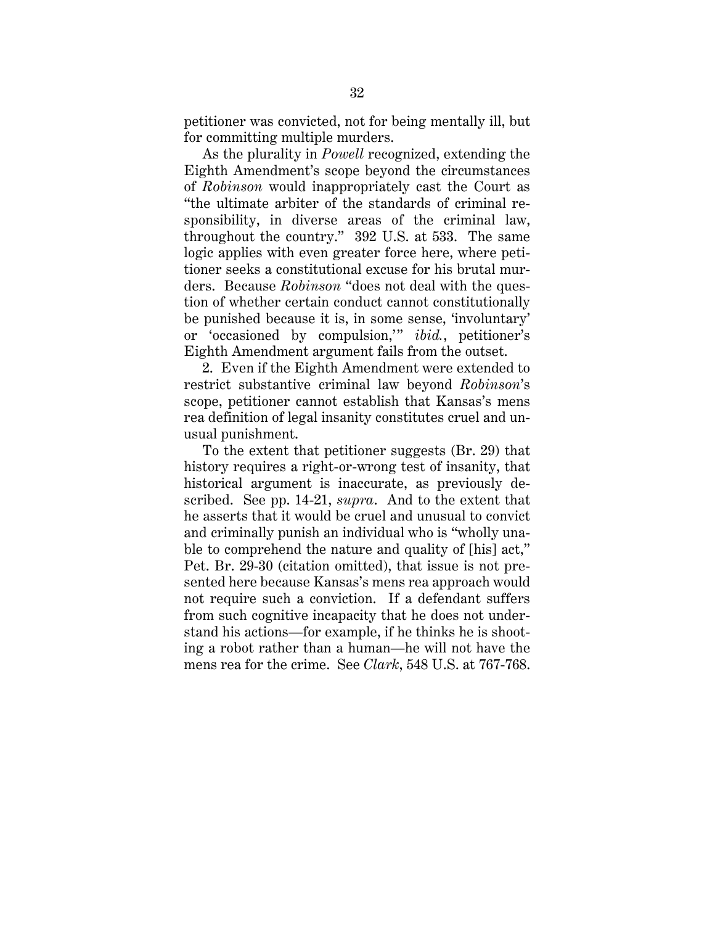petitioner was convicted, not for being mentally ill, but for committing multiple murders.

As the plurality in *Powell* recognized, extending the Eighth Amendment's scope beyond the circumstances of *Robinson* would inappropriately cast the Court as "the ultimate arbiter of the standards of criminal responsibility, in diverse areas of the criminal law, throughout the country." 392 U.S. at 533. The same logic applies with even greater force here, where petitioner seeks a constitutional excuse for his brutal murders. Because *Robinson* "does not deal with the question of whether certain conduct cannot constitutionally be punished because it is, in some sense, 'involuntary' or 'occasioned by compulsion,'" *ibid.*, petitioner's Eighth Amendment argument fails from the outset.

2. Even if the Eighth Amendment were extended to restrict substantive criminal law beyond *Robinson*'s scope, petitioner cannot establish that Kansas's mens rea definition of legal insanity constitutes cruel and unusual punishment.

To the extent that petitioner suggests (Br. 29) that history requires a right-or-wrong test of insanity, that historical argument is inaccurate, as previously described. See pp. 14-21, *supra*. And to the extent that he asserts that it would be cruel and unusual to convict and criminally punish an individual who is "wholly unable to comprehend the nature and quality of [his] act," Pet. Br. 29-30 (citation omitted), that issue is not presented here because Kansas's mens rea approach would not require such a conviction. If a defendant suffers from such cognitive incapacity that he does not understand his actions—for example, if he thinks he is shooting a robot rather than a human—he will not have the mens rea for the crime. See *Clark*, 548 U.S. at 767-768.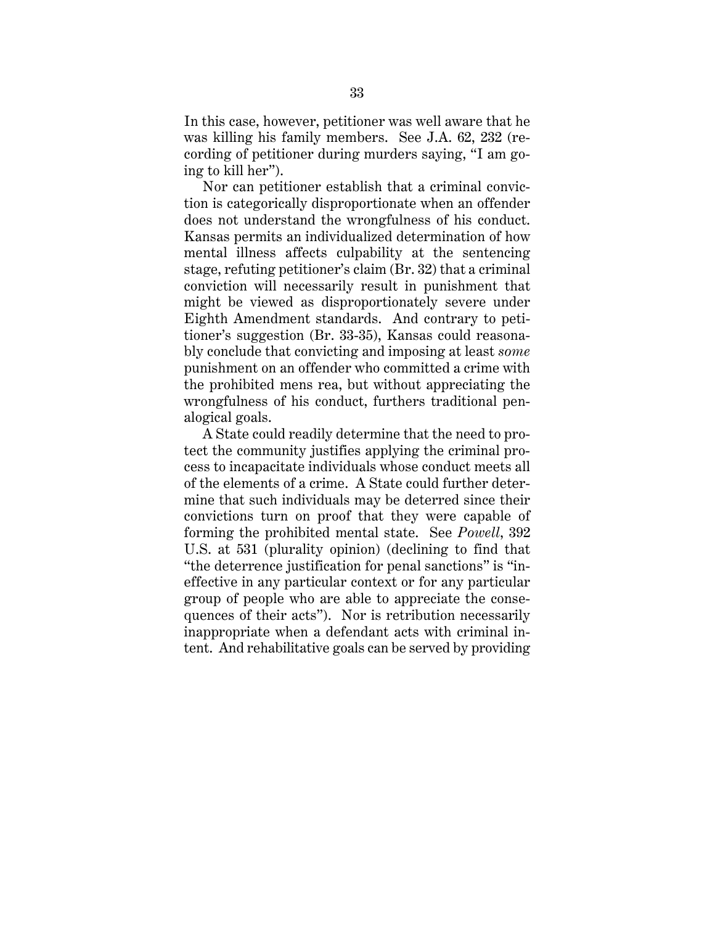In this case, however, petitioner was well aware that he was killing his family members. See J.A. 62, 232 (recording of petitioner during murders saying, "I am going to kill her").

Nor can petitioner establish that a criminal conviction is categorically disproportionate when an offender does not understand the wrongfulness of his conduct. Kansas permits an individualized determination of how mental illness affects culpability at the sentencing stage, refuting petitioner's claim (Br. 32) that a criminal conviction will necessarily result in punishment that might be viewed as disproportionately severe under Eighth Amendment standards. And contrary to petitioner's suggestion (Br. 33-35), Kansas could reasonably conclude that convicting and imposing at least *some*  punishment on an offender who committed a crime with the prohibited mens rea, but without appreciating the wrongfulness of his conduct, furthers traditional penalogical goals.

A State could readily determine that the need to protect the community justifies applying the criminal process to incapacitate individuals whose conduct meets all of the elements of a crime. A State could further determine that such individuals may be deterred since their convictions turn on proof that they were capable of forming the prohibited mental state. See *Powell*, 392 U.S. at 531 (plurality opinion) (declining to find that "the deterrence justification for penal sanctions" is "ineffective in any particular context or for any particular group of people who are able to appreciate the consequences of their acts"). Nor is retribution necessarily inappropriate when a defendant acts with criminal intent. And rehabilitative goals can be served by providing